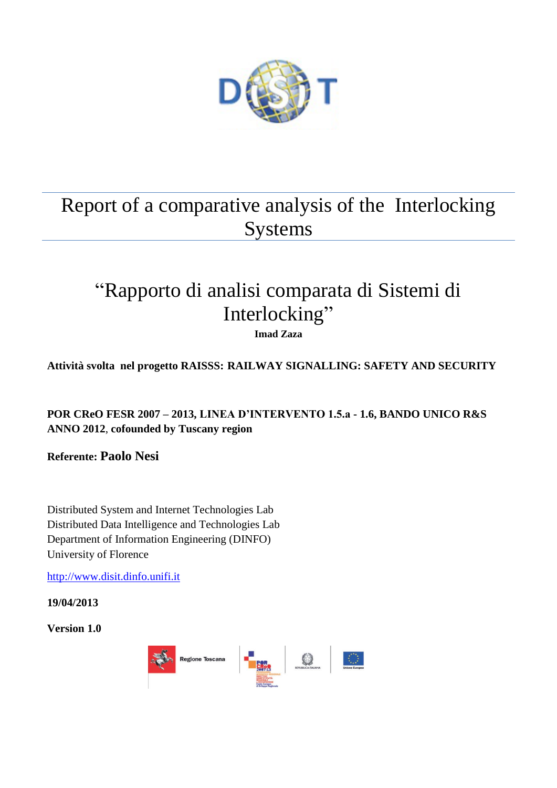

## Report of a comparative analysis of the Interlocking Systems

# "Rapporto di analisi comparata di Sistemi di Interlocking"

**Imad Zaza**

**Attività svolta nel progetto RAISSS: RAILWAY SIGNALLING: SAFETY AND SECURITY**

**POR CReO FESR 2007 – 2013, LINEA D'INTERVENTO 1.5.a - 1.6, BANDO UNICO R&S ANNO 2012**, **cofounded by Tuscany region**

**Referente: Paolo Nesi**

Distributed System and Internet Technologies Lab Distributed Data Intelligence and Technologies Lab Department of Information Engineering (DINFO) University of Florence

[http://www.disit.dinfo.unifi.it](http://www.disit.dinfo.unifi.it/)

**19/04/2013**

**Version 1.0**

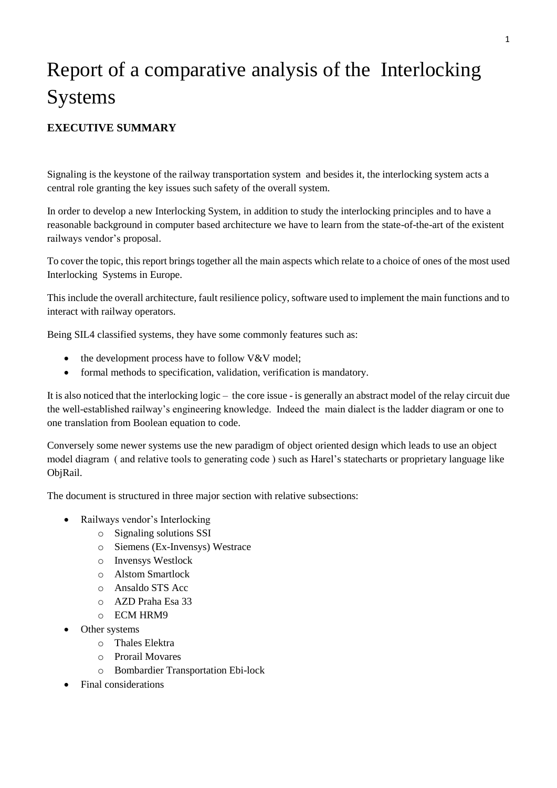# Report of a comparative analysis of the Interlocking Systems

### **EXECUTIVE SUMMARY**

Signaling is the keystone of the railway transportation system and besides it, the interlocking system acts a central role granting the key issues such safety of the overall system.

In order to develop a new Interlocking System, in addition to study the interlocking principles and to have a reasonable background in computer based architecture we have to learn from the state-of-the-art of the existent railways vendor's proposal.

To cover the topic, this report brings together all the main aspects which relate to a choice of ones of the most used Interlocking Systems in Europe.

This include the overall architecture, fault resilience policy, software used to implement the main functions and to interact with railway operators.

Being SIL4 classified systems, they have some commonly features such as:

- $\bullet$  the development process have to follow V&V model;
- formal methods to specification, validation, verification is mandatory.

It is also noticed that the interlocking logic – the core issue - is generally an abstract model of the relay circuit due the well-established railway's engineering knowledge. Indeed the main dialect is the ladder diagram or one to one translation from Boolean equation to code.

Conversely some newer systems use the new paradigm of object oriented design which leads to use an object model diagram ( and relative tools to generating code ) such as Harel's statecharts or proprietary language like ObjRail.

The document is structured in three major section with relative subsections:

- Railways vendor's Interlocking
	- o Signaling solutions SSI
	- o Siemens (Ex-Invensys) Westrace
	- o Invensys Westlock
	- o Alstom Smartlock
	- o Ansaldo STS Acc
	- o AZD Praha Esa 33
	- o ECM HRM9
- Other systems
	- o Thales Elektra
	- o Prorail Movares
	- o Bombardier Transportation Ebi-lock
- Final considerations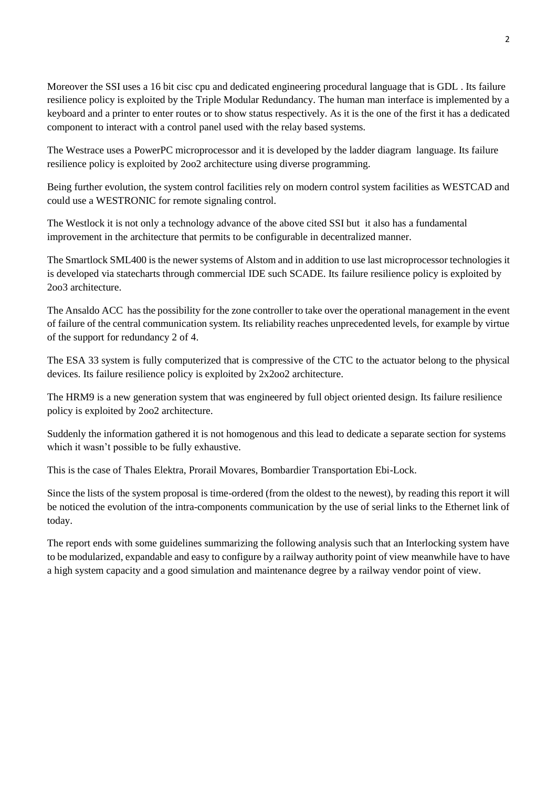Moreover the SSI uses a 16 bit cisc cpu and dedicated engineering procedural language that is GDL . Its failure resilience policy is exploited by the Triple Modular Redundancy. The human man interface is implemented by a keyboard and a printer to enter routes or to show status respectively. As it is the one of the first it has a dedicated component to interact with a control panel used with the relay based systems.

The Westrace uses a PowerPC microprocessor and it is developed by the ladder diagram language. Its failure resilience policy is exploited by 2oo2 architecture using diverse programming.

Being further evolution, the system control facilities rely on modern control system facilities as WESTCAD and could use a WESTRONIC for remote signaling control.

The Westlock it is not only a technology advance of the above cited SSI but it also has a fundamental improvement in the architecture that permits to be configurable in decentralized manner.

The Smartlock SML400 is the newer systems of Alstom and in addition to use last microprocessor technologies it is developed via statecharts through commercial IDE such SCADE. Its failure resilience policy is exploited by 2oo3 architecture.

The Ansaldo ACC has the possibility for the zone controller to take over the operational management in the event of failure of the central communication system. Its reliability reaches unprecedented levels, for example by virtue of the support for redundancy 2 of 4.

The ESA 33 system is fully computerized that is compressive of the CTC to the actuator belong to the physical devices. Its failure resilience policy is exploited by 2x2oo2 architecture.

The HRM9 is a new generation system that was engineered by full object oriented design. Its failure resilience policy is exploited by 2oo2 architecture.

Suddenly the information gathered it is not homogenous and this lead to dedicate a separate section for systems which it wasn't possible to be fully exhaustive.

This is the case of Thales Elektra, Prorail Movares, Bombardier Transportation Ebi-Lock.

Since the lists of the system proposal is time-ordered (from the oldest to the newest), by reading this report it will be noticed the evolution of the intra-components communication by the use of serial links to the Ethernet link of today.

The report ends with some guidelines summarizing the following analysis such that an Interlocking system have to be modularized, expandable and easy to configure by a railway authority point of view meanwhile have to have a high system capacity and a good simulation and maintenance degree by a railway vendor point of view.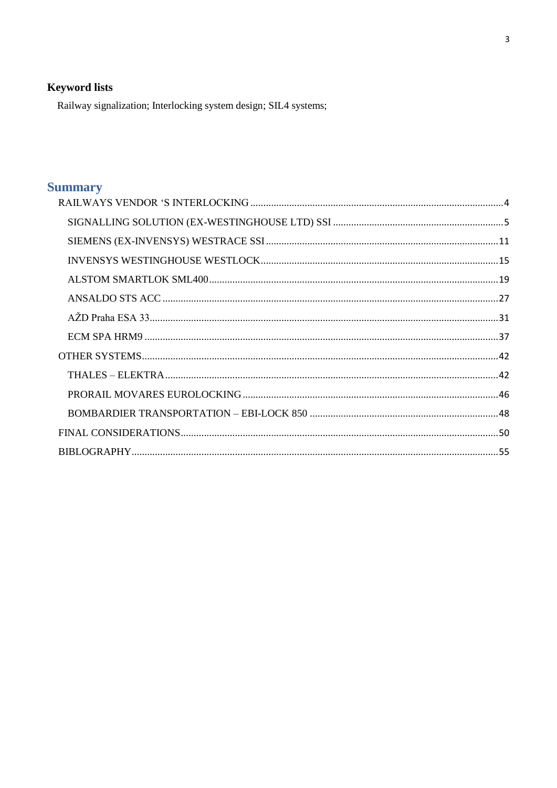## **Keyword lists**

Railway signalization; Interlocking system design; SIL4 systems;

## **Summary**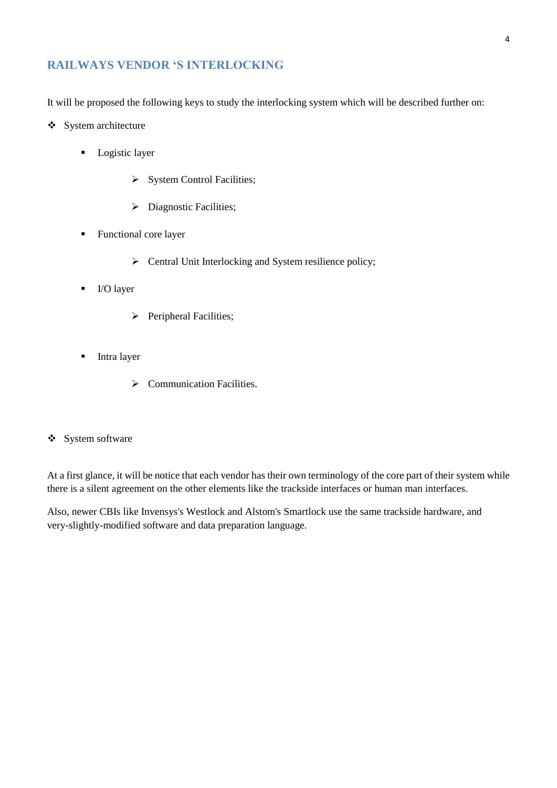### <span id="page-4-0"></span>**RAILWAYS VENDOR 'S INTERLOCKING**

It will be proposed the following keys to study the interlocking system which will be described further on:

- System architecture
	- **Logistic layer** 
		- $\triangleright$  System Control Facilities;
		- $\triangleright$  Diagnostic Facilities;
	- Functional core layer
		- $\triangleright$  Central Unit Interlocking and System resilience policy;
	- $\blacksquare$  I/O layer
		- $\triangleright$  Peripheral Facilities;
	- **Intra layer** 
		- $\triangleright$  Communication Facilities.

#### ❖ System software

At a first glance, it will be notice that each vendor has their own terminology of the core part of their system while there is a silent agreement on the other elements like the trackside interfaces or human man interfaces.

Also, newer CBIs like Invensys's Westlock and Alstom's Smartlock use the same trackside hardware, and very-slightly-modified software and data preparation language.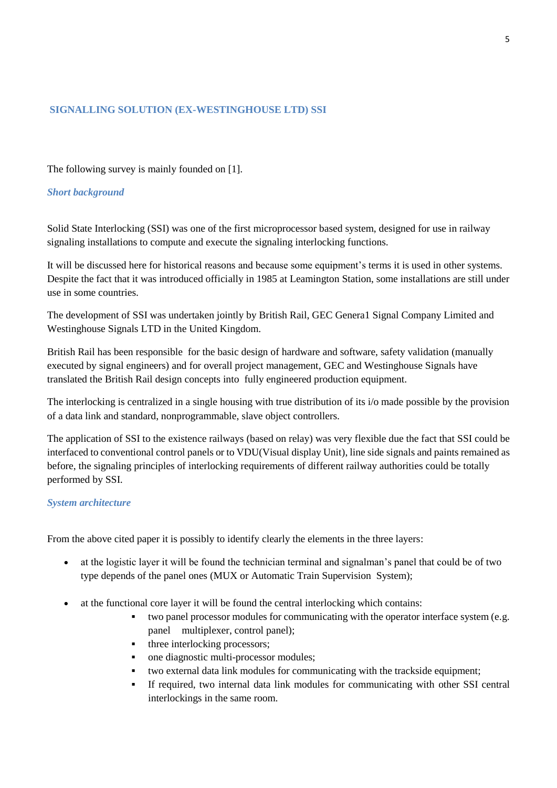### <span id="page-5-0"></span>**SIGNALLING SOLUTION (EX-WESTINGHOUSE LTD) SSI**

The following survey is mainly founded on [1].

### *Short background*

Solid State Interlocking (SSI) was one of the first microprocessor based system, designed for use in railway signaling installations to compute and execute the signaling interlocking functions.

It will be discussed here for historical reasons and because some equipment's terms it is used in other systems. Despite the fact that it was introduced officially in 1985 at Leamington Station, some installations are still under use in some countries.

The development of SSI was undertaken jointly by British Rail, GEC Genera1 Signal Company Limited and Westinghouse Signals LTD in the United Kingdom.

British Rail has been responsible for the basic design of hardware and software, safety validation (manually executed by signal engineers) and for overall project management, GEC and Westinghouse Signals have translated the British Rail design concepts into fully engineered production equipment.

The interlocking is centralized in a single housing with true distribution of its i/o made possible by the provision of a data link and standard, nonprogrammable, slave object controllers.

The application of SSI to the existence railways (based on relay) was very flexible due the fact that SSI could be interfaced to conventional control panels or to VDU(Visual display Unit), line side signals and paints remained as before, the signaling principles of interlocking requirements of different railway authorities could be totally performed by SSI.

#### *System architecture*

From the above cited paper it is possibly to identify clearly the elements in the three layers:

- at the logistic layer it will be found the technician terminal and signalman's panel that could be of two type depends of the panel ones (MUX or Automatic Train Supervision System);
- at the functional core layer it will be found the central interlocking which contains:
	- two panel processor modules for communicating with the operator interface system (e.g. panel multiplexer, control panel);
	- three interlocking processors;
	- one diagnostic multi-processor modules;
	- two external data link modules for communicating with the trackside equipment;
	- If required, two internal data link modules for communicating with other SSI central interlockings in the same room.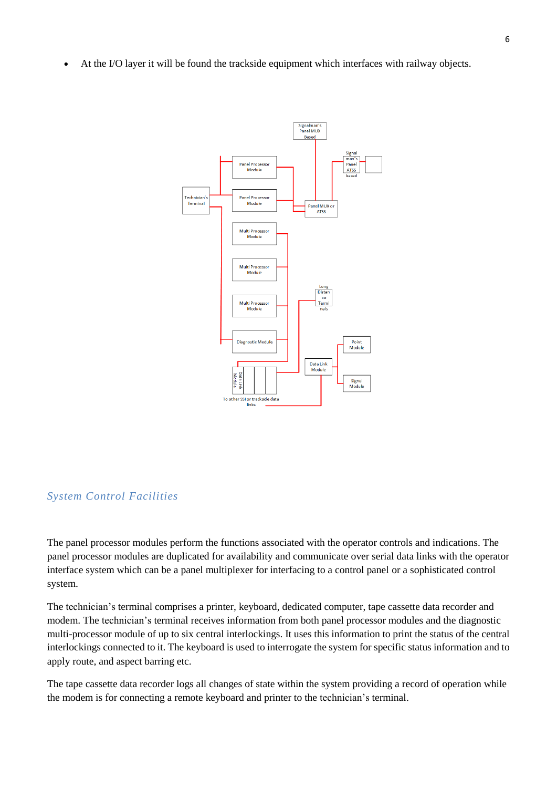At the I/O layer it will be found the trackside equipment which interfaces with railway objects.



#### *System Control Facilities*

The panel processor modules perform the functions associated with the operator controls and indications. The panel processor modules are duplicated for availability and communicate over serial data links with the operator interface system which can be a panel multiplexer for interfacing to a control panel or a sophisticated control system.

The technician's terminal comprises a printer, keyboard, dedicated computer, tape cassette data recorder and modem. The technician's terminal receives information from both panel processor modules and the diagnostic multi-processor module of up to six central interlockings. It uses this information to print the status of the central interlockings connected to it. The keyboard is used to interrogate the system for specific status information and to apply route, and aspect barring etc.

The tape cassette data recorder logs all changes of state within the system providing a record of operation while the modem is for connecting a remote keyboard and printer to the technician's terminal.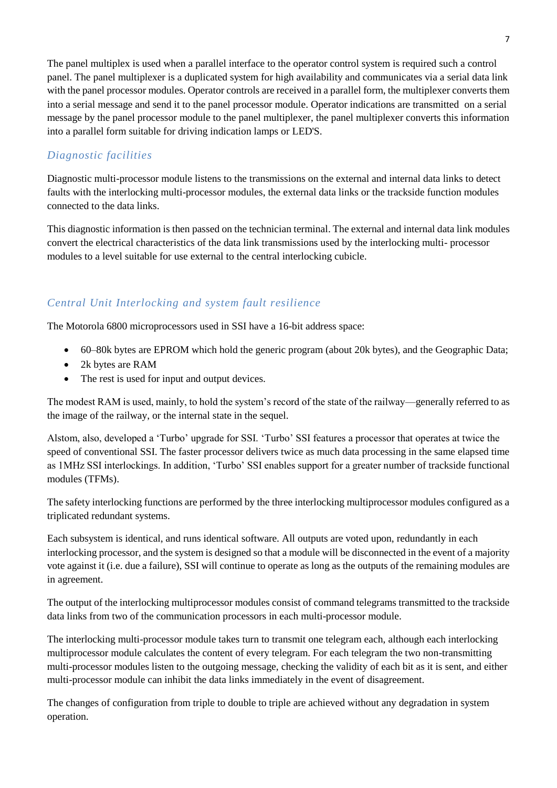The panel multiplex is used when a parallel interface to the operator control system is required such a control panel. The panel multiplexer is a duplicated system for high availability and communicates via a serial data link with the panel processor modules. Operator controls are received in a parallel form, the multiplexer converts them into a serial message and send it to the panel processor module. Operator indications are transmitted on a serial message by the panel processor module to the panel multiplexer, the panel multiplexer converts this information into a parallel form suitable for driving indication lamps or LED'S.

### *Diagnostic facilities*

Diagnostic multi-processor module listens to the transmissions on the external and internal data links to detect faults with the interlocking multi-processor modules, the external data links or the trackside function modules connected to the data links.

This diagnostic information is then passed on the technician terminal. The external and internal data link modules convert the electrical characteristics of the data link transmissions used by the interlocking multi- processor modules to a level suitable for use external to the central interlocking cubicle.

### *Central Unit Interlocking and system fault resilience*

The Motorola 6800 microprocessors used in SSI have a 16-bit address space:

- 60–80k bytes are EPROM which hold the generic program (about 20k bytes), and the Geographic Data;
- 2k bytes are RAM
- The rest is used for input and output devices.

The modest RAM is used, mainly, to hold the system's record of the state of the railway—generally referred to as the image of the railway, or the internal state in the sequel.

Alstom, also, developed a 'Turbo' upgrade for SSI. 'Turbo' SSI features a processor that operates at twice the speed of conventional SSI. The faster processor delivers twice as much data processing in the same elapsed time as 1MHz SSI interlockings. In addition, 'Turbo' SSI enables support for a greater number of trackside functional modules (TFMs).

The safety interlocking functions are performed by the three interlocking multiprocessor modules configured as a triplicated redundant systems.

Each subsystem is identical, and runs identical software. All outputs are voted upon, redundantly in each interlocking processor, and the system is designed so that a module will be disconnected in the event of a majority vote against it (i.e. due a failure), SSI will continue to operate as long as the outputs of the remaining modules are in agreement.

The output of the interlocking multiprocessor modules consist of command telegrams transmitted to the trackside data links from two of the communication processors in each multi-processor module.

The interlocking multi-processor module takes turn to transmit one telegram each, although each interlocking multiprocessor module calculates the content of every telegram. For each telegram the two non-transmitting multi-processor modules listen to the outgoing message, checking the validity of each bit as it is sent, and either multi-processor module can inhibit the data links immediately in the event of disagreement.

The changes of configuration from triple to double to triple are achieved without any degradation in system operation.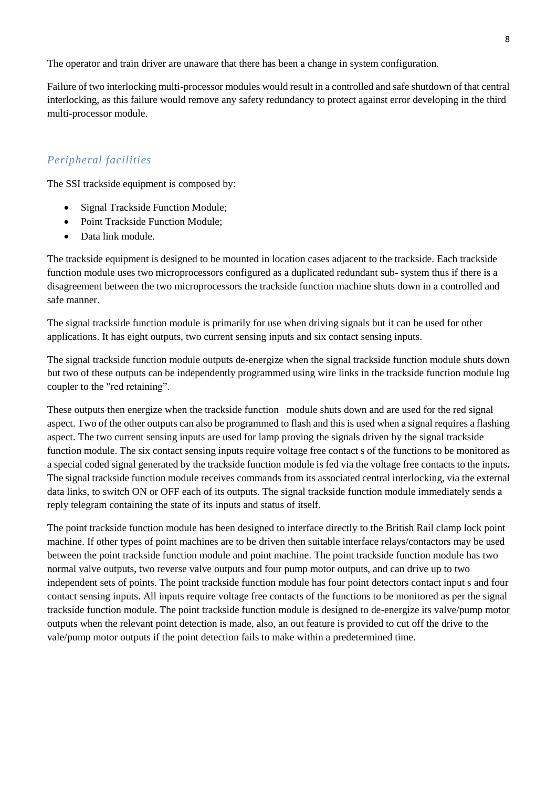The operator and train driver are unaware that there has been a change in system configuration.

Failure of two interlocking multi-processor modules would result in a controlled and safe shutdown of that central interlocking, as this failure would remove any safety redundancy to protect against error developing in the third multi-processor module.

### *Peripheral facilities*

The SSI trackside equipment is composed by:

- Signal Trackside Function Module;
- Point Trackside Function Module;
- Data link module.

The trackside equipment is designed to be mounted in location cases adjacent to the trackside. Each trackside function module uses two microprocessors configured as a duplicated redundant sub- system thus if there is a disagreement between the two microprocessors the trackside function machine shuts down in a controlled and safe manner.

The signal trackside function module is primarily for use when driving signals but it can be used for other applications. It has eight outputs, two current sensing inputs and six contact sensing inputs.

The signal trackside function module outputs de-energize when the signal trackside function module shuts down but two of these outputs can be independently programmed using wire links in the trackside function module lug coupler to the "red retaining".

These outputs then energize when the trackside function module shuts down and are used for the red signal aspect. Two of the other outputs can also be programmed to flash and this is used when a signal requires a flashing aspect. The two current sensing inputs are used for lamp proving the signals driven by the signal trackside function module. The six contact sensing inputs require voltage free contact s of the functions to be monitored as a special coded signal generated by the trackside function module is fed via the voltage free contacts to the inputs**.** The signal trackside function module receives commands from its associated central interlocking, via the external data links, to switch ON or OFF each of its outputs. The signal trackside function module immediately sends a reply telegram containing the state of its inputs and status of itself.

The point trackside function module has been designed to interface directly to the British Rail clamp lock point machine. If other types of point machines are to be driven then suitable interface relays/contactors may be used between the point trackside function module and point machine. The point trackside function module has two normal valve outputs, two reverse valve outputs and four pump motor outputs, and can drive up to two independent sets of points. The point trackside function module has four point detectors contact input s and four contact sensing inputs. All inputs require voltage free contacts of the functions to be monitored as per the signal trackside function module. The point trackside function module is designed to de-energize its valve/pump motor outputs when the relevant point detection is made, also*,* an out feature is provided to cut off the drive to the vale/pump motor outputs if the point detection fails to make within a predetermined time.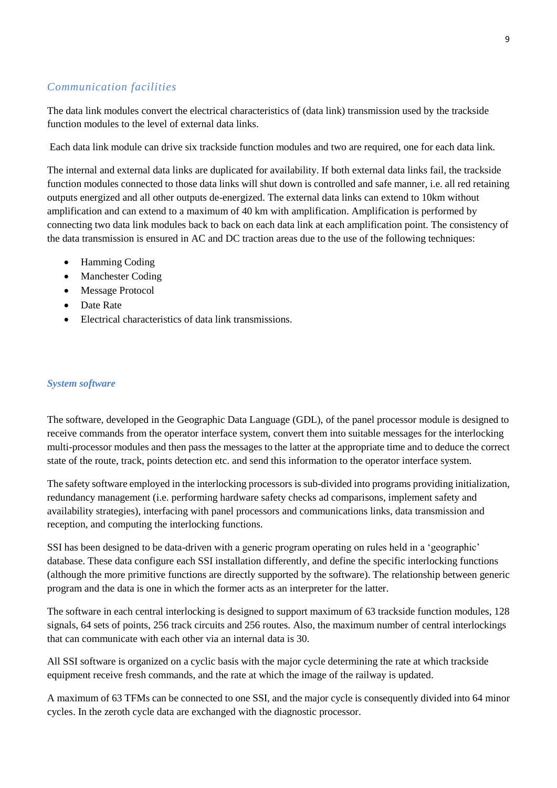### *Communication facilities*

The data link modules convert the electrical characteristics of (data link) transmission used by the trackside function modules to the level of external data links.

Each data link module can drive six trackside function modules and two are required, one for each data link.

The internal and external data links are duplicated for availability. If both external data links fail, the trackside function modules connected to those data links will shut down is controlled and safe manner, i.e. all red retaining outputs energized and all other outputs de-energized. The external data links can extend to 10km without amplification and can extend to a maximum of 40 km with amplification. Amplification is performed by connecting two data link modules back to back on each data link at each amplification point. The consistency of the data transmission is ensured in AC and DC traction areas due to the use of the following techniques:

- Hamming Coding
- Manchester Coding
- Message Protocol
- Date Rate
- Electrical characteristics of data link transmissions.

#### *System software*

The software, developed in the Geographic Data Language (GDL), of the panel processor module is designed to receive commands from the operator interface system, convert them into suitable messages for the interlocking multi-processor modules and then pass the messages to the latter at the appropriate time and to deduce the correct state of the route, track, points detection etc. and send this information to the operator interface system.

The safety software employed in the interlocking processors is sub-divided into programs providing initialization, redundancy management (i.e. performing hardware safety checks ad comparisons, implement safety and availability strategies), interfacing with panel processors and communications links, data transmission and reception, and computing the interlocking functions.

SSI has been designed to be data-driven with a generic program operating on rules held in a 'geographic' database. These data configure each SSI installation differently, and define the specific interlocking functions (although the more primitive functions are directly supported by the software). The relationship between generic program and the data is one in which the former acts as an interpreter for the latter.

The software in each central interlocking is designed to support maximum of 63 trackside function modules, 128 signals, 64 sets of points, 256 track circuits and 256 routes. Also, the maximum number of central interlockings that can communicate with each other via an internal data is 30.

All SSI software is organized on a cyclic basis with the major cycle determining the rate at which trackside equipment receive fresh commands, and the rate at which the image of the railway is updated.

A maximum of 63 TFMs can be connected to one SSI, and the major cycle is consequently divided into 64 minor cycles. In the zeroth cycle data are exchanged with the diagnostic processor.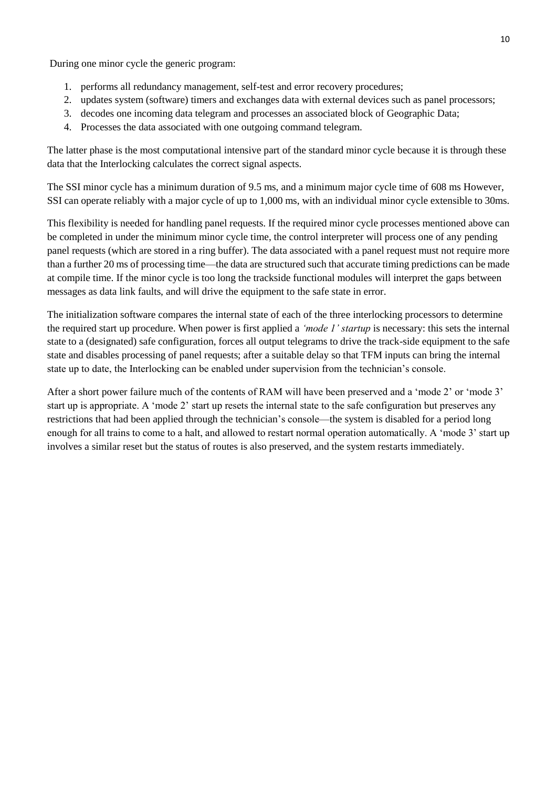During one minor cycle the generic program:

- 1. performs all redundancy management, self-test and error recovery procedures;
- 2. updates system (software) timers and exchanges data with external devices such as panel processors;
- 3. decodes one incoming data telegram and processes an associated block of Geographic Data;
- 4. Processes the data associated with one outgoing command telegram.

The latter phase is the most computational intensive part of the standard minor cycle because it is through these data that the Interlocking calculates the correct signal aspects.

The SSI minor cycle has a minimum duration of 9.5 ms, and a minimum major cycle time of 608 ms However, SSI can operate reliably with a major cycle of up to 1,000 ms, with an individual minor cycle extensible to 30ms.

This flexibility is needed for handling panel requests. If the required minor cycle processes mentioned above can be completed in under the minimum minor cycle time, the control interpreter will process one of any pending panel requests (which are stored in a ring buffer). The data associated with a panel request must not require more than a further 20 ms of processing time—the data are structured such that accurate timing predictions can be made at compile time. If the minor cycle is too long the trackside functional modules will interpret the gaps between messages as data link faults, and will drive the equipment to the safe state in error.

The initialization software compares the internal state of each of the three interlocking processors to determine the required start up procedure. When power is first applied a *'mode 1' startup* is necessary: this sets the internal state to a (designated) safe configuration, forces all output telegrams to drive the track-side equipment to the safe state and disables processing of panel requests; after a suitable delay so that TFM inputs can bring the internal state up to date, the Interlocking can be enabled under supervision from the technician's console.

After a short power failure much of the contents of RAM will have been preserved and a 'mode 2' or 'mode 3' start up is appropriate. A 'mode 2' start up resets the internal state to the safe configuration but preserves any restrictions that had been applied through the technician's console—the system is disabled for a period long enough for all trains to come to a halt, and allowed to restart normal operation automatically. A 'mode 3' start up involves a similar reset but the status of routes is also preserved, and the system restarts immediately.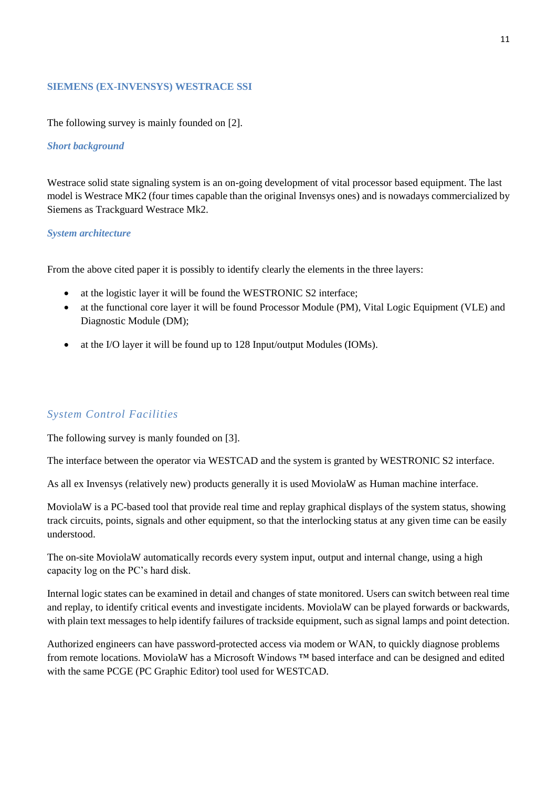#### <span id="page-11-0"></span>**SIEMENS (EX-INVENSYS) WESTRACE SSI**

The following survey is mainly founded on [2].

#### *Short background*

Westrace solid state signaling system is an on-going development of vital processor based equipment. The last model is Westrace MK2 (four times capable than the original Invensys ones) and is nowadays commercialized by Siemens as Trackguard Westrace Mk2.

#### *System architecture*

From the above cited paper it is possibly to identify clearly the elements in the three layers:

- at the logistic layer it will be found the WESTRONIC S2 interface;
- at the functional core layer it will be found Processor Module (PM), Vital Logic Equipment (VLE) and Diagnostic Module (DM);
- at the I/O layer it will be found up to 128 Input/output Modules (IOMs).

### *System Control Facilities*

The following survey is manly founded on [3].

The interface between the operator via WESTCAD and the system is granted by WESTRONIC S2 interface.

As all ex Invensys (relatively new) products generally it is used MoviolaW as Human machine interface.

MoviolaW is a PC-based tool that provide real time and replay graphical displays of the system status, showing track circuits, points, signals and other equipment, so that the interlocking status at any given time can be easily understood.

The on-site MoviolaW automatically records every system input, output and internal change, using a high capacity log on the PC's hard disk.

Internal logic states can be examined in detail and changes of state monitored. Users can switch between real time and replay, to identify critical events and investigate incidents. MoviolaW can be played forwards or backwards, with plain text messages to help identify failures of trackside equipment, such as signal lamps and point detection.

Authorized engineers can have password-protected access via modem or WAN, to quickly diagnose problems from remote locations. MoviolaW has a Microsoft Windows ™ based interface and can be designed and edited with the same PCGE (PC Graphic Editor) tool used for WESTCAD.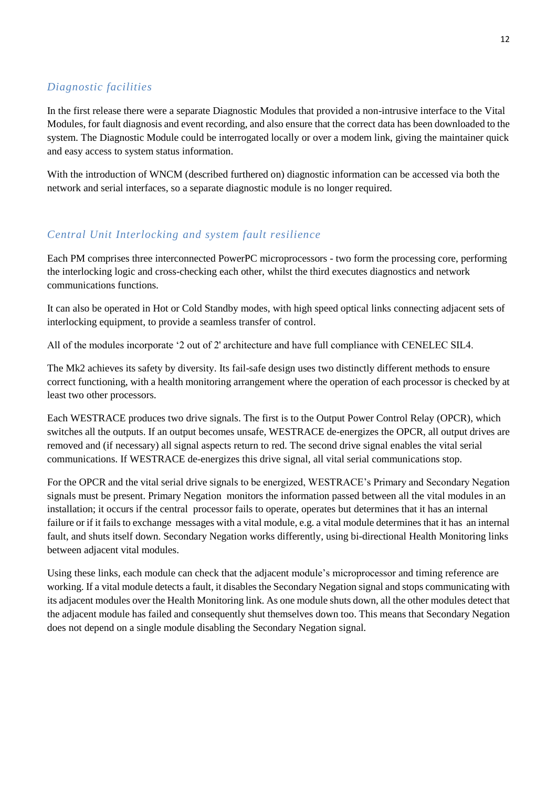### *Diagnostic facilities*

In the first release there were a separate Diagnostic Modules that provided a non-intrusive interface to the Vital Modules, for fault diagnosis and event recording, and also ensure that the correct data has been downloaded to the system. The Diagnostic Module could be interrogated locally or over a modem link, giving the maintainer quick and easy access to system status information.

With the introduction of WNCM (described furthered on) diagnostic information can be accessed via both the network and serial interfaces, so a separate diagnostic module is no longer required.

### *Central Unit Interlocking and system fault resilience*

Each PM comprises three interconnected PowerPC microprocessors - two form the processing core, performing the interlocking logic and cross-checking each other, whilst the third executes diagnostics and network communications functions.

It can also be operated in Hot or Cold Standby modes, with high speed optical links connecting adjacent sets of interlocking equipment, to provide a seamless transfer of control.

All of the modules incorporate '2 out of 2' architecture and have full compliance with CENELEC SIL4.

The Mk2 achieves its safety by diversity. Its fail-safe design uses two distinctly different methods to ensure correct functioning, with a health monitoring arrangement where the operation of each processor is checked by at least two other processors.

Each WESTRACE produces two drive signals. The first is to the Output Power Control Relay (OPCR), which switches all the outputs. If an output becomes unsafe, WESTRACE de-energizes the OPCR, all output drives are removed and (if necessary) all signal aspects return to red. The second drive signal enables the vital serial communications. If WESTRACE de-energizes this drive signal, all vital serial communications stop.

For the OPCR and the vital serial drive signals to be energized, WESTRACE's Primary and Secondary Negation signals must be present. Primary Negation monitors the information passed between all the vital modules in an installation; it occurs if the central processor fails to operate, operates but determines that it has an internal failure or if it fails to exchange messages with a vital module, e.g. a vital module determines that it has an internal fault, and shuts itself down. Secondary Negation works differently, using bi-directional Health Monitoring links between adjacent vital modules.

Using these links, each module can check that the adjacent module's microprocessor and timing reference are working. If a vital module detects a fault, it disables the Secondary Negation signal and stops communicating with its adjacent modules over the Health Monitoring link. As one module shuts down, all the other modules detect that the adjacent module has failed and consequently shut themselves down too. This means that Secondary Negation does not depend on a single module disabling the Secondary Negation signal.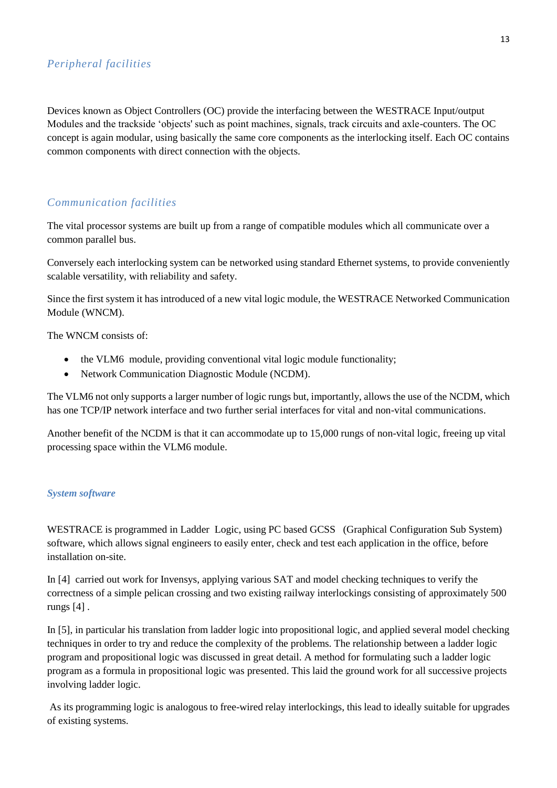### *Peripheral facilities*

Devices known as Object Controllers (OC) provide the interfacing between the WESTRACE Input/output Modules and the trackside 'objects' such as point machines, signals, track circuits and axle-counters. The OC concept is again modular, using basically the same core components as the interlocking itself. Each OC contains common components with direct connection with the objects.

### *Communication facilities*

The vital processor systems are built up from a range of compatible modules which all communicate over a common parallel bus.

Conversely each interlocking system can be networked using standard Ethernet systems, to provide conveniently scalable versatility, with reliability and safety.

Since the first system it has introduced of a new vital logic module, the WESTRACE Networked Communication Module (WNCM).

The WNCM consists of:

- the VLM6 module, providing conventional vital logic module functionality;
- Network Communication Diagnostic Module (NCDM).

The VLM6 not only supports a larger number of logic rungs but, importantly, allows the use of the NCDM, which has one TCP/IP network interface and two further serial interfaces for vital and non-vital communications.

Another benefit of the NCDM is that it can accommodate up to 15,000 rungs of non-vital logic, freeing up vital processing space within the VLM6 module.

#### *System software*

WESTRACE is programmed in Ladder Logic, using PC based GCSS (Graphical Configuration Sub System) software, which allows signal engineers to easily enter, check and test each application in the office, before installation on-site.

In [4] carried out work for Invensys, applying various SAT and model checking techniques to verify the correctness of a simple pelican crossing and two existing railway interlockings consisting of approximately 500 rungs [4] .

In [5], in particular his translation from ladder logic into propositional logic, and applied several model checking techniques in order to try and reduce the complexity of the problems. The relationship between a ladder logic program and propositional logic was discussed in great detail. A method for formulating such a ladder logic program as a formula in propositional logic was presented. This laid the ground work for all successive projects involving ladder logic.

As its programming logic is analogous to free-wired relay interlockings, this lead to ideally suitable for upgrades of existing systems.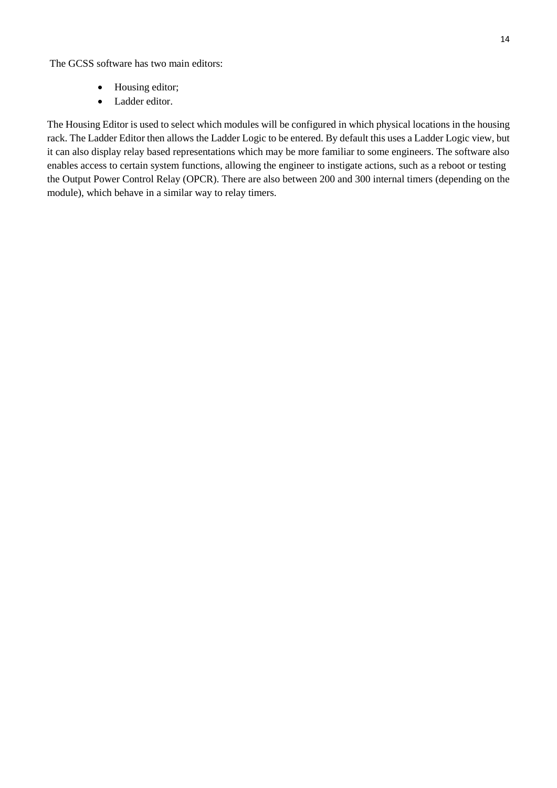The GCSS software has two main editors:

- Housing editor;
- Ladder editor.

The Housing Editor is used to select which modules will be configured in which physical locations in the housing rack. The Ladder Editor then allows the Ladder Logic to be entered. By default this uses a Ladder Logic view, but it can also display relay based representations which may be more familiar to some engineers. The software also enables access to certain system functions, allowing the engineer to instigate actions, such as a reboot or testing the Output Power Control Relay (OPCR). There are also between 200 and 300 internal timers (depending on the module), which behave in a similar way to relay timers.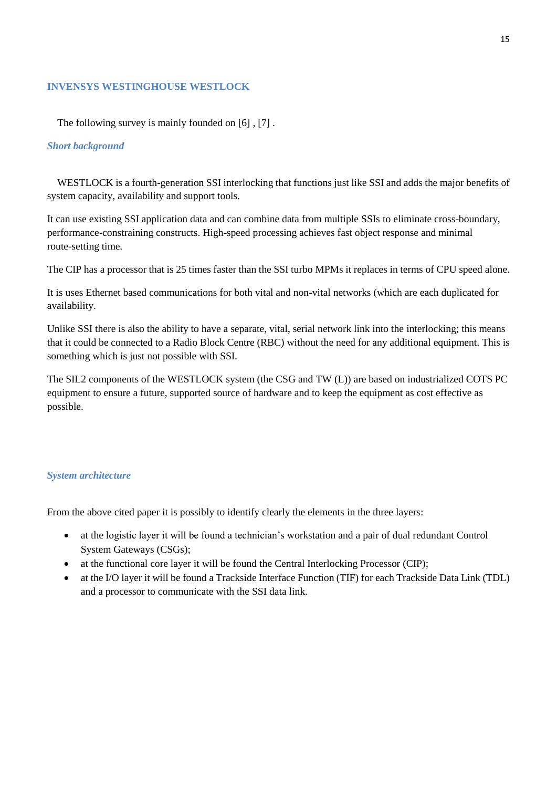#### <span id="page-15-0"></span>**INVENSYS WESTINGHOUSE WESTLOCK**

The following survey is mainly founded on [6] , [7] .

#### *Short background*

WESTLOCK is a fourth-generation SSI interlocking that functions just like SSI and adds the major benefits of system capacity, availability and support tools.

It can use existing SSI application data and can combine data from multiple SSIs to eliminate cross-boundary, performance-constraining constructs. High-speed processing achieves fast object response and minimal route-setting time.

The CIP has a processor that is 25 times faster than the SSI turbo MPMs it replaces in terms of CPU speed alone.

It is uses Ethernet based communications for both vital and non-vital networks (which are each duplicated for availability.

Unlike SSI there is also the ability to have a separate, vital, serial network link into the interlocking; this means that it could be connected to a Radio Block Centre (RBC) without the need for any additional equipment. This is something which is just not possible with SSI.

The SIL2 components of the WESTLOCK system (the CSG and TW (L)) are based on industrialized COTS PC equipment to ensure a future, supported source of hardware and to keep the equipment as cost effective as possible.

#### *System architecture*

From the above cited paper it is possibly to identify clearly the elements in the three layers:

- at the logistic layer it will be found a technician's workstation and a pair of dual redundant Control System Gateways (CSGs);
- at the functional core layer it will be found the Central Interlocking Processor (CIP);
- at the I/O layer it will be found a Trackside Interface Function (TIF) for each Trackside Data Link (TDL) and a processor to communicate with the SSI data link.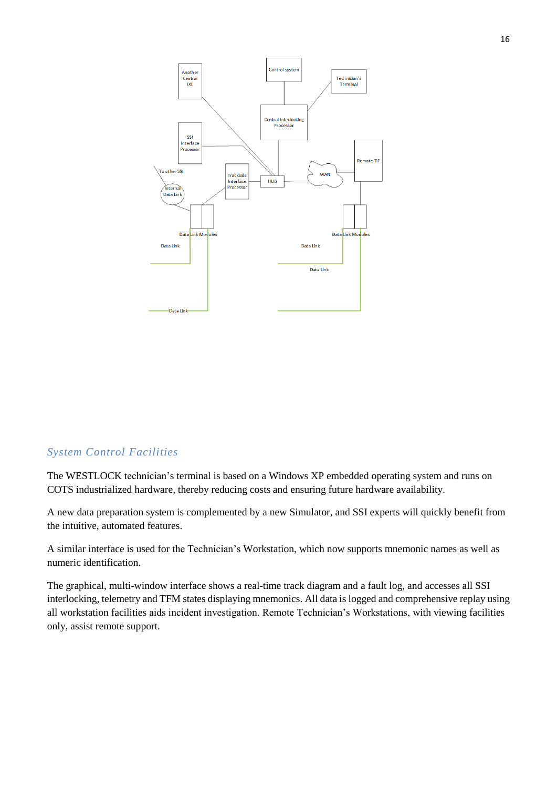

### *System Control Facilities*

The WESTLOCK technician's terminal is based on a Windows XP embedded operating system and runs on COTS industrialized hardware, thereby reducing costs and ensuring future hardware availability.

A new data preparation system is complemented by a new Simulator, and SSI experts will quickly benefit from the intuitive, automated features.

A similar interface is used for the Technician's Workstation, which now supports mnemonic names as well as numeric identification.

The graphical, multi-window interface shows a real-time track diagram and a fault log, and accesses all SSI interlocking, telemetry and TFM states displaying mnemonics. All data is logged and comprehensive replay using all workstation facilities aids incident investigation. Remote Technician's Workstations, with viewing facilities only, assist remote support.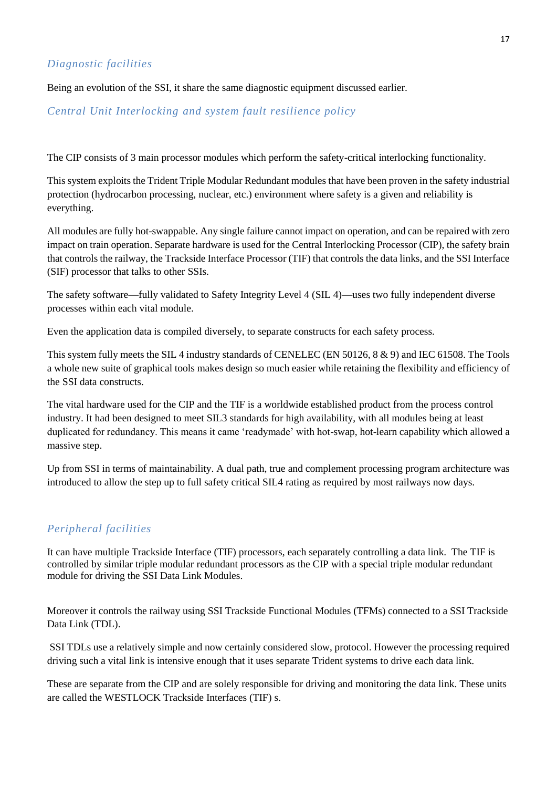### *Diagnostic facilities*

Being an evolution of the SSI, it share the same diagnostic equipment discussed earlier.

*Central Unit Interlocking and system fault resilience policy*

The CIP consists of 3 main processor modules which perform the safety-critical interlocking functionality.

This system exploits the Trident Triple Modular Redundant modules that have been proven in the safety industrial protection (hydrocarbon processing, nuclear, etc.) environment where safety is a given and reliability is everything.

All modules are fully hot-swappable. Any single failure cannot impact on operation, and can be repaired with zero impact on train operation. Separate hardware is used for the Central Interlocking Processor (CIP), the safety brain that controls the railway, the Trackside Interface Processor (TIF) that controls the data links, and the SSI Interface (SIF) processor that talks to other SSIs.

The safety software—fully validated to Safety Integrity Level 4 (SIL 4)—uses two fully independent diverse processes within each vital module.

Even the application data is compiled diversely, to separate constructs for each safety process.

This system fully meets the SIL 4 industry standards of CENELEC (EN 50126, 8 & 9) and IEC 61508. The Tools a whole new suite of graphical tools makes design so much easier while retaining the flexibility and efficiency of the SSI data constructs.

The vital hardware used for the CIP and the TIF is a worldwide established product from the process control industry. It had been designed to meet SIL3 standards for high availability, with all modules being at least duplicated for redundancy. This means it came 'readymade' with hot-swap, hot-learn capability which allowed a massive step.

Up from SSI in terms of maintainability. A dual path, true and complement processing program architecture was introduced to allow the step up to full safety critical SIL4 rating as required by most railways now days.

### *Peripheral facilities*

It can have multiple Trackside Interface (TIF) processors, each separately controlling a data link. The TIF is controlled by similar triple modular redundant processors as the CIP with a special triple modular redundant module for driving the SSI Data Link Modules.

Moreover it controls the railway using SSI Trackside Functional Modules (TFMs) connected to a SSI Trackside Data Link (TDL).

SSI TDLs use a relatively simple and now certainly considered slow, protocol. However the processing required driving such a vital link is intensive enough that it uses separate Trident systems to drive each data link.

These are separate from the CIP and are solely responsible for driving and monitoring the data link. These units are called the WESTLOCK Trackside Interfaces (TIF) s.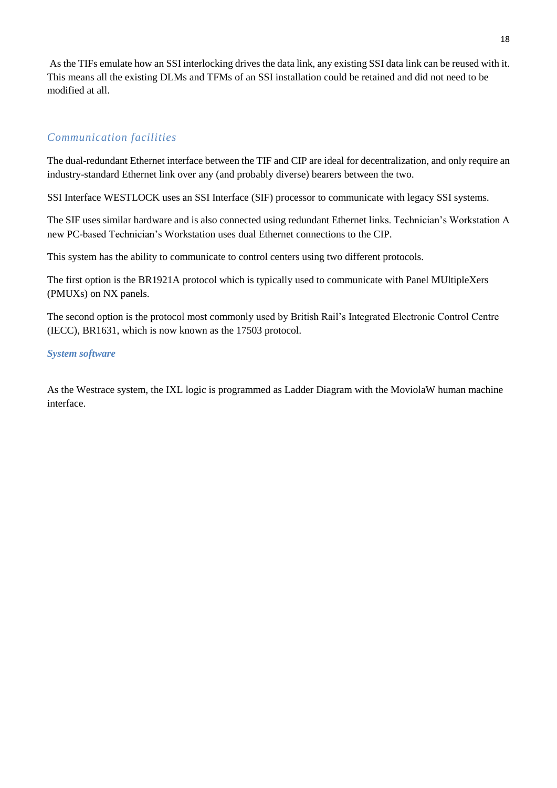As the TIFs emulate how an SSI interlocking drives the data link, any existing SSI data link can be reused with it. This means all the existing DLMs and TFMs of an SSI installation could be retained and did not need to be modified at all.

### *Communication facilities*

The dual-redundant Ethernet interface between the TIF and CIP are ideal for decentralization, and only require an industry-standard Ethernet link over any (and probably diverse) bearers between the two.

SSI Interface WESTLOCK uses an SSI Interface (SIF) processor to communicate with legacy SSI systems.

The SIF uses similar hardware and is also connected using redundant Ethernet links. Technician's Workstation A new PC-based Technician's Workstation uses dual Ethernet connections to the CIP.

This system has the ability to communicate to control centers using two different protocols.

The first option is the BR1921A protocol which is typically used to communicate with Panel MUltipleXers (PMUXs) on NX panels.

The second option is the protocol most commonly used by British Rail's Integrated Electronic Control Centre (IECC), BR1631, which is now known as the 17503 protocol.

### *System software*

As the Westrace system, the IXL logic is programmed as Ladder Diagram with the MoviolaW human machine interface.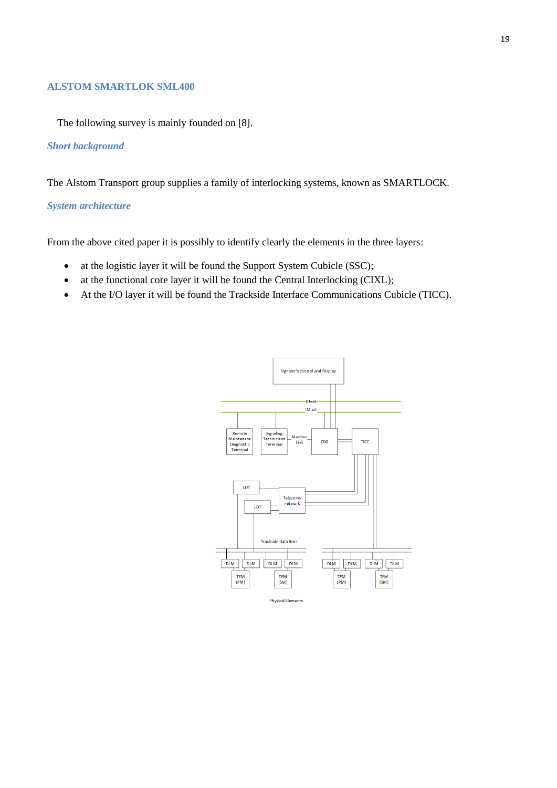#### <span id="page-19-0"></span>**ALSTOM SMARTLOK SML400**

The following survey is mainly founded on [8].

#### *Short background*

The Alstom Transport group supplies a family of interlocking systems, known as SMARTLOCK.

#### *System architecture*

From the above cited paper it is possibly to identify clearly the elements in the three layers:

- at the logistic layer it will be found the Support System Cubicle (SSC);
- at the functional core layer it will be found the Central Interlocking (CIXL);
- At the I/O layer it will be found the Trackside Interface Communications Cubicle (TICC).

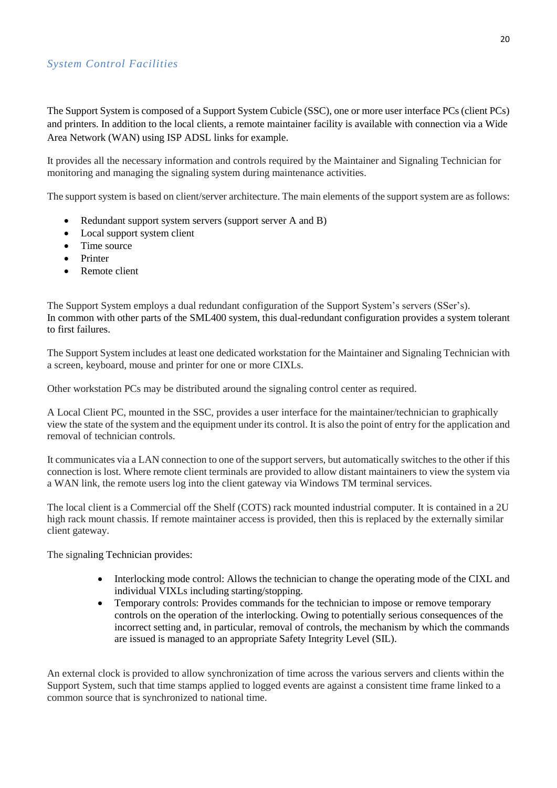### *System Control Facilities*

The Support System is composed of a Support System Cubicle (SSC), one or more user interface PCs (client PCs) and printers. In addition to the local clients, a remote maintainer facility is available with connection via a Wide Area Network (WAN) using ISP ADSL links for example.

It provides all the necessary information and controls required by the Maintainer and Signaling Technician for monitoring and managing the signaling system during maintenance activities.

The support system is based on client/server architecture. The main elements of the support system are as follows:

- Redundant support system servers (support server A and B)
- Local support system client
- Time source
- Printer
- Remote client

The Support System employs a dual redundant configuration of the Support System's servers (SSer's). In common with other parts of the SML400 system, this dual-redundant configuration provides a system tolerant to first failures.

The Support System includes at least one dedicated workstation for the Maintainer and Signaling Technician with a screen, keyboard, mouse and printer for one or more CIXLs.

Other workstation PCs may be distributed around the signaling control center as required.

A Local Client PC, mounted in the SSC, provides a user interface for the maintainer/technician to graphically view the state of the system and the equipment under its control. It is also the point of entry for the application and removal of technician controls.

It communicates via a LAN connection to one of the support servers, but automatically switches to the other if this connection is lost. Where remote client terminals are provided to allow distant maintainers to view the system via a WAN link, the remote users log into the client gateway via Windows TM terminal services.

The local client is a Commercial off the Shelf (COTS) rack mounted industrial computer. It is contained in a 2U high rack mount chassis. If remote maintainer access is provided, then this is replaced by the externally similar client gateway.

The signaling Technician provides:

- Interlocking mode control: Allows the technician to change the operating mode of the CIXL and individual VIXLs including starting/stopping.
- Temporary controls: Provides commands for the technician to impose or remove temporary controls on the operation of the interlocking. Owing to potentially serious consequences of the incorrect setting and, in particular, removal of controls, the mechanism by which the commands are issued is managed to an appropriate Safety Integrity Level (SIL).

An external clock is provided to allow synchronization of time across the various servers and clients within the Support System, such that time stamps applied to logged events are against a consistent time frame linked to a common source that is synchronized to national time.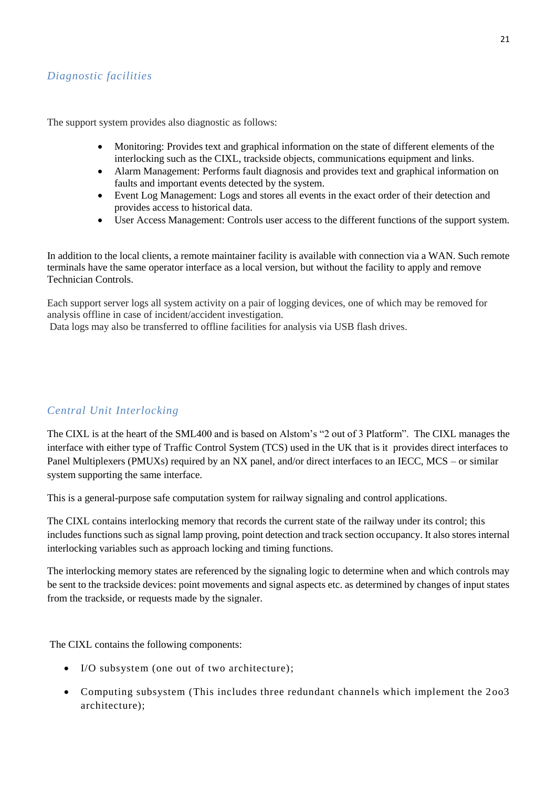### *Diagnostic facilities*

The support system provides also diagnostic as follows:

- Monitoring: Provides text and graphical information on the state of different elements of the interlocking such as the CIXL, trackside objects, communications equipment and links.
- Alarm Management: Performs fault diagnosis and provides text and graphical information on faults and important events detected by the system.
- Event Log Management: Logs and stores all events in the exact order of their detection and provides access to historical data.
- User Access Management: Controls user access to the different functions of the support system.

In addition to the local clients, a remote maintainer facility is available with connection via a WAN. Such remote terminals have the same operator interface as a local version, but without the facility to apply and remove Technician Controls.

Each support server logs all system activity on a pair of logging devices, one of which may be removed for analysis offline in case of incident/accident investigation.

Data logs may also be transferred to offline facilities for analysis via USB flash drives.

### *Central Unit Interlocking*

The CIXL is at the heart of the SML400 and is based on Alstom's "2 out of 3 Platform". The CIXL manages the interface with either type of Traffic Control System (TCS) used in the UK that is it provides direct interfaces to Panel Multiplexers (PMUXs) required by an NX panel, and/or direct interfaces to an IECC, MCS – or similar system supporting the same interface.

This is a general-purpose safe computation system for railway signaling and control applications.

The CIXL contains interlocking memory that records the current state of the railway under its control; this includes functions such as signal lamp proving, point detection and track section occupancy. It also stores internal interlocking variables such as approach locking and timing functions.

The interlocking memory states are referenced by the signaling logic to determine when and which controls may be sent to the trackside devices: point movements and signal aspects etc. as determined by changes of input states from the trackside, or requests made by the signaler.

The CIXL contains the following components:

- I/O subsystem (one out of two architecture);
- Computing subsystem (This includes three redundant channels which implement the 2 oo3 architecture);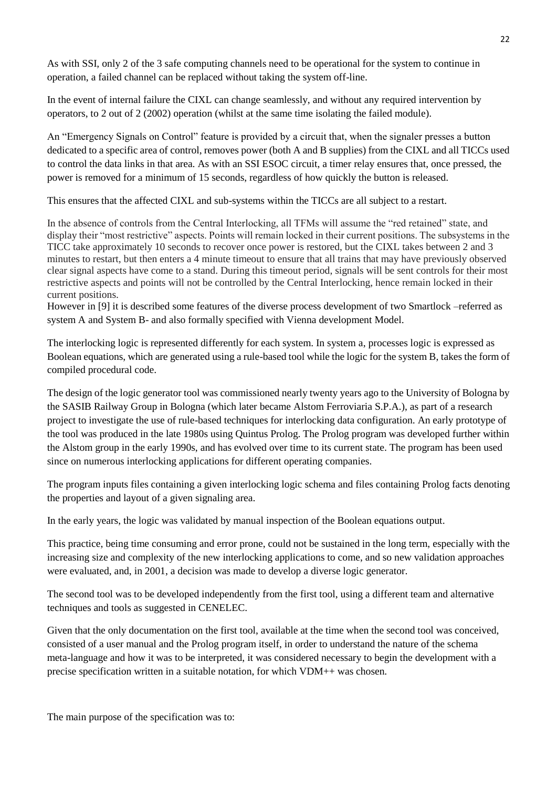As with SSI, only 2 of the 3 safe computing channels need to be operational for the system to continue in operation, a failed channel can be replaced without taking the system off-line.

In the event of internal failure the CIXL can change seamlessly, and without any required intervention by operators, to 2 out of 2 (2002) operation (whilst at the same time isolating the failed module).

An "Emergency Signals on Control" feature is provided by a circuit that, when the signaler presses a button dedicated to a specific area of control, removes power (both A and B supplies) from the CIXL and all TICCs used to control the data links in that area. As with an SSI ESOC circuit, a timer relay ensures that, once pressed, the power is removed for a minimum of 15 seconds, regardless of how quickly the button is released.

This ensures that the affected CIXL and sub-systems within the TICCs are all subject to a restart.

In the absence of controls from the Central Interlocking, all TFMs will assume the "red retained" state, and display their "most restrictive" aspects. Points will remain locked in their current positions. The subsystems in the TICC take approximately 10 seconds to recover once power is restored, but the CIXL takes between 2 and 3 minutes to restart, but then enters a 4 minute timeout to ensure that all trains that may have previously observed clear signal aspects have come to a stand. During this timeout period, signals will be sent controls for their most restrictive aspects and points will not be controlled by the Central Interlocking, hence remain locked in their current positions.

However in [9] it is described some features of the diverse process development of two Smartlock –referred as system A and System B- and also formally specified with Vienna development Model.

The interlocking logic is represented differently for each system. In system a, processes logic is expressed as Boolean equations, which are generated using a rule-based tool while the logic for the system B, takes the form of compiled procedural code.

The design of the logic generator tool was commissioned nearly twenty years ago to the University of Bologna by the SASIB Railway Group in Bologna (which later became Alstom Ferroviaria S.P.A.), as part of a research project to investigate the use of rule-based techniques for interlocking data configuration. An early prototype of the tool was produced in the late 1980s using Quintus Prolog. The Prolog program was developed further within the Alstom group in the early 1990s, and has evolved over time to its current state. The program has been used since on numerous interlocking applications for different operating companies.

The program inputs files containing a given interlocking logic schema and files containing Prolog facts denoting the properties and layout of a given signaling area.

In the early years, the logic was validated by manual inspection of the Boolean equations output.

This practice, being time consuming and error prone, could not be sustained in the long term, especially with the increasing size and complexity of the new interlocking applications to come, and so new validation approaches were evaluated, and, in 2001, a decision was made to develop a diverse logic generator.

The second tool was to be developed independently from the first tool, using a different team and alternative techniques and tools as suggested in CENELEC.

Given that the only documentation on the first tool, available at the time when the second tool was conceived, consisted of a user manual and the Prolog program itself, in order to understand the nature of the schema meta-language and how it was to be interpreted, it was considered necessary to begin the development with a precise specification written in a suitable notation, for which VDM++ was chosen.

The main purpose of the specification was to: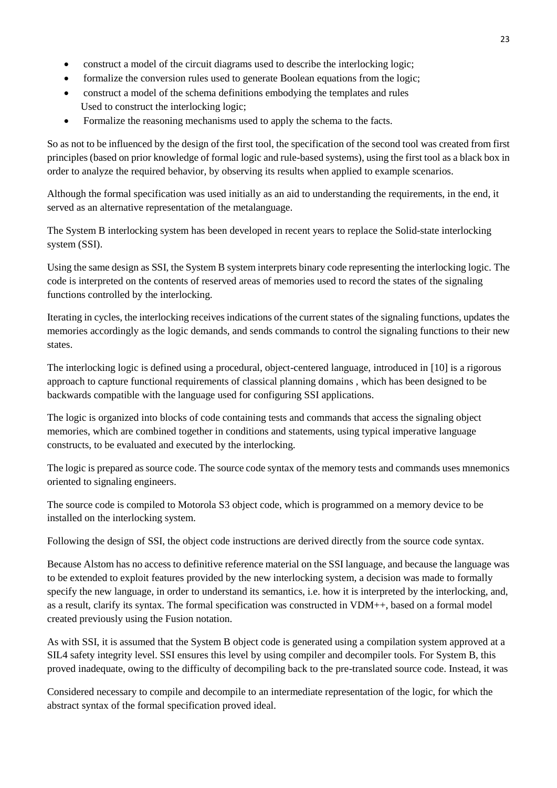- construct a model of the circuit diagrams used to describe the interlocking logic;
- formalize the conversion rules used to generate Boolean equations from the logic;
- construct a model of the schema definitions embodying the templates and rules Used to construct the interlocking logic;
- Formalize the reasoning mechanisms used to apply the schema to the facts.

So as not to be influenced by the design of the first tool, the specification of the second tool was created from first principles (based on prior knowledge of formal logic and rule-based systems), using the first tool as a black box in order to analyze the required behavior, by observing its results when applied to example scenarios.

Although the formal specification was used initially as an aid to understanding the requirements, in the end, it served as an alternative representation of the metalanguage.

The System B interlocking system has been developed in recent years to replace the Solid-state interlocking system (SSI).

Using the same design as SSI, the System B system interprets binary code representing the interlocking logic. The code is interpreted on the contents of reserved areas of memories used to record the states of the signaling functions controlled by the interlocking.

Iterating in cycles, the interlocking receives indications of the current states of the signaling functions, updates the memories accordingly as the logic demands, and sends commands to control the signaling functions to their new states.

The interlocking logic is defined using a procedural, object-centered language, introduced in [10] is a rigorous approach to capture functional requirements of classical planning domains , which has been designed to be backwards compatible with the language used for configuring SSI applications.

The logic is organized into blocks of code containing tests and commands that access the signaling object memories, which are combined together in conditions and statements, using typical imperative language constructs, to be evaluated and executed by the interlocking.

The logic is prepared as source code. The source code syntax of the memory tests and commands uses mnemonics oriented to signaling engineers.

The source code is compiled to Motorola S3 object code, which is programmed on a memory device to be installed on the interlocking system.

Following the design of SSI, the object code instructions are derived directly from the source code syntax.

Because Alstom has no access to definitive reference material on the SSI language, and because the language was to be extended to exploit features provided by the new interlocking system, a decision was made to formally specify the new language, in order to understand its semantics, i.e. how it is interpreted by the interlocking, and, as a result, clarify its syntax. The formal specification was constructed in VDM++, based on a formal model created previously using the Fusion notation.

As with SSI, it is assumed that the System B object code is generated using a compilation system approved at a SIL4 safety integrity level. SSI ensures this level by using compiler and decompiler tools. For System B, this proved inadequate, owing to the difficulty of decompiling back to the pre-translated source code. Instead, it was

Considered necessary to compile and decompile to an intermediate representation of the logic, for which the abstract syntax of the formal specification proved ideal.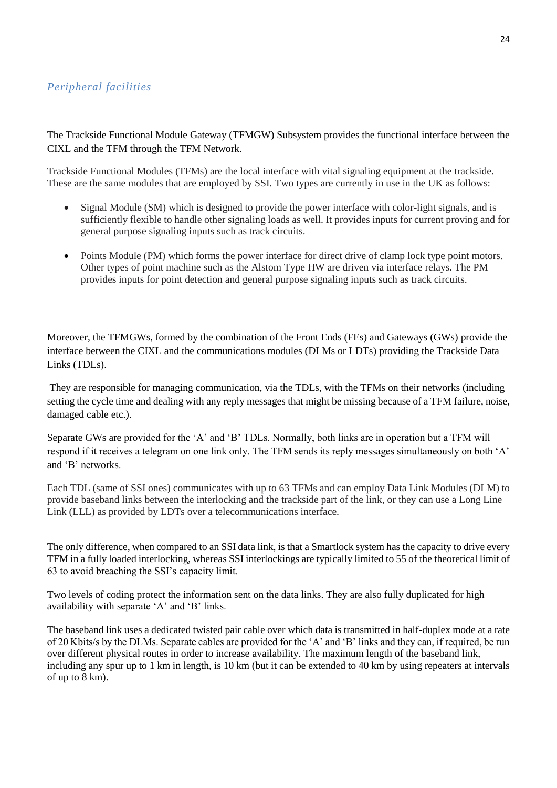### *Peripheral facilities*

The Trackside Functional Module Gateway (TFMGW) Subsystem provides the functional interface between the CIXL and the TFM through the TFM Network.

Trackside Functional Modules (TFMs) are the local interface with vital signaling equipment at the trackside. These are the same modules that are employed by SSI. Two types are currently in use in the UK as follows:

- Signal Module (SM) which is designed to provide the power interface with color-light signals, and is sufficiently flexible to handle other signaling loads as well. It provides inputs for current proving and for general purpose signaling inputs such as track circuits.
- Points Module (PM) which forms the power interface for direct drive of clamp lock type point motors. Other types of point machine such as the Alstom Type HW are driven via interface relays. The PM provides inputs for point detection and general purpose signaling inputs such as track circuits.

Moreover, the TFMGWs, formed by the combination of the Front Ends (FEs) and Gateways (GWs) provide the interface between the CIXL and the communications modules (DLMs or LDTs) providing the Trackside Data Links (TDLs).

They are responsible for managing communication, via the TDLs, with the TFMs on their networks (including setting the cycle time and dealing with any reply messages that might be missing because of a TFM failure, noise, damaged cable etc.).

Separate GWs are provided for the 'A' and 'B' TDLs. Normally, both links are in operation but a TFM will respond if it receives a telegram on one link only. The TFM sends its reply messages simultaneously on both 'A' and 'B' networks.

Each TDL (same of SSI ones) communicates with up to 63 TFMs and can employ Data Link Modules (DLM) to provide baseband links between the interlocking and the trackside part of the link, or they can use a Long Line Link (LLL) as provided by LDTs over a telecommunications interface.

The only difference, when compared to an SSI data link, is that a Smartlock system has the capacity to drive every TFM in a fully loaded interlocking, whereas SSI interlockings are typically limited to 55 of the theoretical limit of 63 to avoid breaching the SSI's capacity limit.

Two levels of coding protect the information sent on the data links. They are also fully duplicated for high availability with separate 'A' and 'B' links.

The baseband link uses a dedicated twisted pair cable over which data is transmitted in half-duplex mode at a rate of 20 Kbits/s by the DLMs. Separate cables are provided for the 'A' and 'B' links and they can, if required, be run over different physical routes in order to increase availability. The maximum length of the baseband link, including any spur up to 1 km in length, is 10 km (but it can be extended to 40 km by using repeaters at intervals of up to 8 km).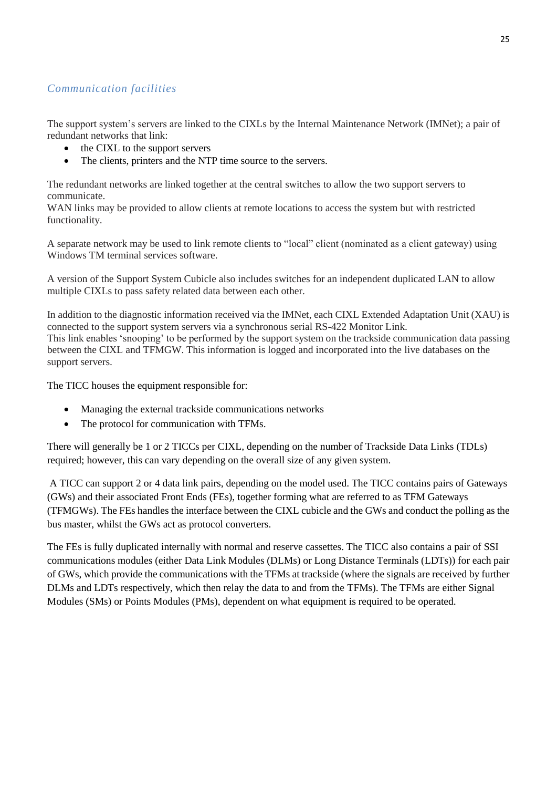### *Communication facilities*

The support system's servers are linked to the CIXLs by the Internal Maintenance Network (IMNet); a pair of redundant networks that link:

- the CIXL to the support servers
- The clients, printers and the NTP time source to the servers.

The redundant networks are linked together at the central switches to allow the two support servers to communicate.

WAN links may be provided to allow clients at remote locations to access the system but with restricted functionality.

A separate network may be used to link remote clients to "local" client (nominated as a client gateway) using Windows TM terminal services software.

A version of the Support System Cubicle also includes switches for an independent duplicated LAN to allow multiple CIXLs to pass safety related data between each other.

In addition to the diagnostic information received via the IMNet, each CIXL Extended Adaptation Unit (XAU) is connected to the support system servers via a synchronous serial RS-422 Monitor Link. This link enables 'snooping' to be performed by the support system on the trackside communication data passing between the CIXL and TFMGW. This information is logged and incorporated into the live databases on the support servers.

The TICC houses the equipment responsible for:

- Managing the external trackside communications networks
- The protocol for communication with TFMs.

There will generally be 1 or 2 TICCs per CIXL, depending on the number of Trackside Data Links (TDLs) required; however, this can vary depending on the overall size of any given system.

A TICC can support 2 or 4 data link pairs, depending on the model used. The TICC contains pairs of Gateways (GWs) and their associated Front Ends (FEs), together forming what are referred to as TFM Gateways (TFMGWs). The FEs handles the interface between the CIXL cubicle and the GWs and conduct the polling as the bus master, whilst the GWs act as protocol converters.

The FEs is fully duplicated internally with normal and reserve cassettes. The TICC also contains a pair of SSI communications modules (either Data Link Modules (DLMs) or Long Distance Terminals (LDTs)) for each pair of GWs, which provide the communications with the TFMs at trackside (where the signals are received by further DLMs and LDTs respectively, which then relay the data to and from the TFMs). The TFMs are either Signal Modules (SMs) or Points Modules (PMs), dependent on what equipment is required to be operated.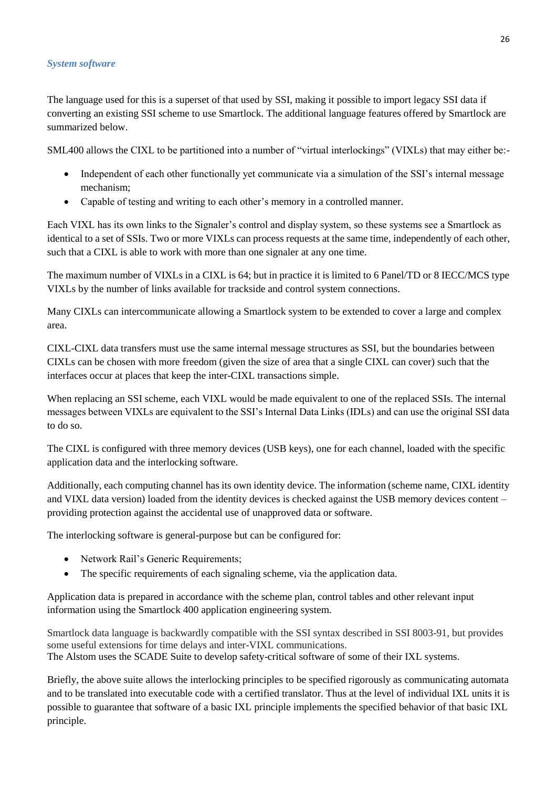#### *System software*

The language used for this is a superset of that used by SSI, making it possible to import legacy SSI data if converting an existing SSI scheme to use Smartlock. The additional language features offered by Smartlock are summarized below.

SML400 allows the CIXL to be partitioned into a number of "virtual interlockings" (VIXLs) that may either be:-

- Independent of each other functionally yet communicate via a simulation of the SSI's internal message mechanism;
- Capable of testing and writing to each other's memory in a controlled manner.

Each VIXL has its own links to the Signaler's control and display system, so these systems see a Smartlock as identical to a set of SSIs. Two or more VIXLs can process requests at the same time, independently of each other, such that a CIXL is able to work with more than one signaler at any one time.

The maximum number of VIXLs in a CIXL is 64; but in practice it is limited to 6 Panel/TD or 8 IECC/MCS type VIXLs by the number of links available for trackside and control system connections.

Many CIXLs can intercommunicate allowing a Smartlock system to be extended to cover a large and complex area.

CIXL-CIXL data transfers must use the same internal message structures as SSI, but the boundaries between CIXLs can be chosen with more freedom (given the size of area that a single CIXL can cover) such that the interfaces occur at places that keep the inter-CIXL transactions simple.

When replacing an SSI scheme, each VIXL would be made equivalent to one of the replaced SSIs. The internal messages between VIXLs are equivalent to the SSI's Internal Data Links (IDLs) and can use the original SSI data to do so.

The CIXL is configured with three memory devices (USB keys), one for each channel, loaded with the specific application data and the interlocking software.

Additionally, each computing channel has its own identity device. The information (scheme name, CIXL identity and VIXL data version) loaded from the identity devices is checked against the USB memory devices content – providing protection against the accidental use of unapproved data or software.

The interlocking software is general-purpose but can be configured for:

- Network Rail's Generic Requirements;
- The specific requirements of each signaling scheme, via the application data.

Application data is prepared in accordance with the scheme plan, control tables and other relevant input information using the Smartlock 400 application engineering system.

Smartlock data language is backwardly compatible with the SSI syntax described in SSI 8003-91, but provides some useful extensions for time delays and inter-VIXL communications. The Alstom uses the SCADE Suite to develop safety-critical software of some of their IXL systems.

Briefly, the above suite allows the interlocking principles to be specified rigorously as communicating automata and to be translated into executable code with a certified translator. Thus at the level of individual IXL units it is possible to guarantee that software of a basic IXL principle implements the specified behavior of that basic IXL principle.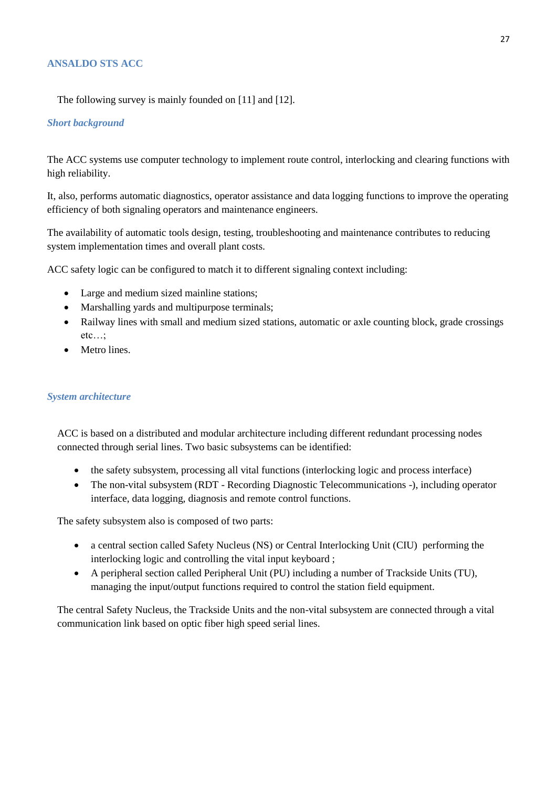### <span id="page-27-0"></span>**ANSALDO STS ACC**

The following survey is mainly founded on [11] and [12].

#### *Short background*

The ACC systems use computer technology to implement route control, interlocking and clearing functions with high reliability.

It, also, performs automatic diagnostics, operator assistance and data logging functions to improve the operating efficiency of both signaling operators and maintenance engineers.

The availability of automatic tools design, testing, troubleshooting and maintenance contributes to reducing system implementation times and overall plant costs.

ACC safety logic can be configured to match it to different signaling context including:

- Large and medium sized mainline stations;
- Marshalling yards and multipurpose terminals;
- Railway lines with small and medium sized stations, automatic or axle counting block, grade crossings etc…;
- Metro lines.

#### *System architecture*

ACC is based on a distributed and modular architecture including different redundant processing nodes connected through serial lines. Two basic subsystems can be identified:

- the safety subsystem, processing all vital functions (interlocking logic and process interface)
- The non-vital subsystem (RDT Recording Diagnostic Telecommunications -), including operator interface, data logging, diagnosis and remote control functions.

The safety subsystem also is composed of two parts:

- a central section called Safety Nucleus (NS) or Central Interlocking Unit (CIU) performing the interlocking logic and controlling the vital input keyboard ;
- A peripheral section called Peripheral Unit (PU) including a number of Trackside Units (TU), managing the input/output functions required to control the station field equipment.

The central Safety Nucleus, the Trackside Units and the non-vital subsystem are connected through a vital communication link based on optic fiber high speed serial lines.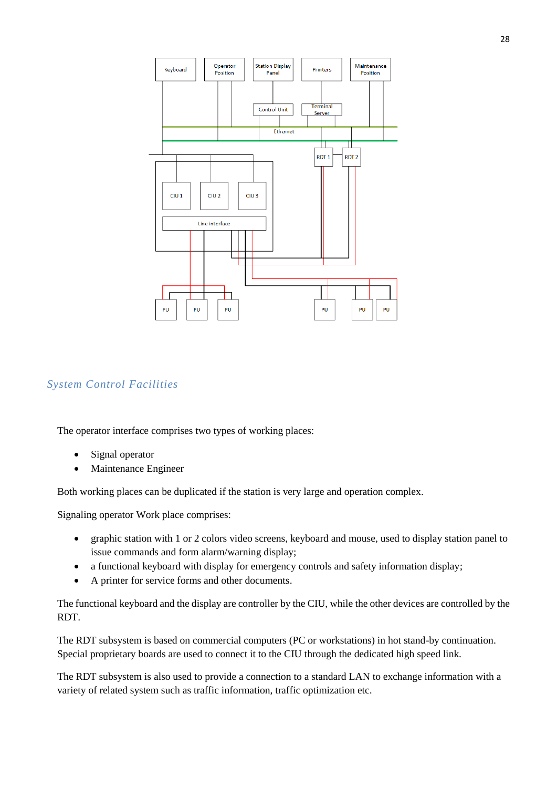

### *System Control Facilities*

The operator interface comprises two types of working places:

- Signal operator
- Maintenance Engineer

Both working places can be duplicated if the station is very large and operation complex.

Signaling operator Work place comprises:

- graphic station with 1 or 2 colors video screens, keyboard and mouse, used to display station panel to issue commands and form alarm/warning display;
- a functional keyboard with display for emergency controls and safety information display;
- A printer for service forms and other documents.

The functional keyboard and the display are controller by the CIU, while the other devices are controlled by the RDT.

The RDT subsystem is based on commercial computers (PC or workstations) in hot stand-by continuation. Special proprietary boards are used to connect it to the CIU through the dedicated high speed link.

The RDT subsystem is also used to provide a connection to a standard LAN to exchange information with a variety of related system such as traffic information, traffic optimization etc.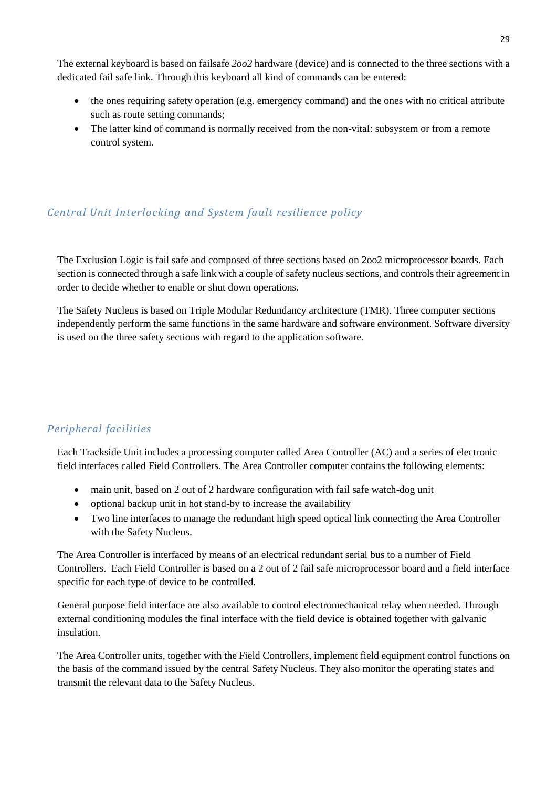The external keyboard is based on failsafe *2oo2* hardware (device) and is connected to the three sections with a dedicated fail safe link. Through this keyboard all kind of commands can be entered:

- the ones requiring safety operation (e.g. emergency command) and the ones with no critical attribute such as route setting commands;
- The latter kind of command is normally received from the non-vital: subsystem or from a remote control system.

### *Central Unit Interlocking and System fault resilience policy*

The Exclusion Logic is fail safe and composed of three sections based on 2oo2 microprocessor boards. Each section is connected through a safe link with a couple of safety nucleus sections, and controls their agreement in order to decide whether to enable or shut down operations.

The Safety Nucleus is based on Triple Modular Redundancy architecture (TMR). Three computer sections independently perform the same functions in the same hardware and software environment. Software diversity is used on the three safety sections with regard to the application software.

### *Peripheral facilities*

Each Trackside Unit includes a processing computer called Area Controller (AC) and a series of electronic field interfaces called Field Controllers. The Area Controller computer contains the following elements:

- main unit, based on 2 out of 2 hardware configuration with fail safe watch-dog unit
- optional backup unit in hot stand-by to increase the availability
- Two line interfaces to manage the redundant high speed optical link connecting the Area Controller with the Safety Nucleus.

The Area Controller is interfaced by means of an electrical redundant serial bus to a number of Field Controllers. Each Field Controller is based on a 2 out of 2 fail safe microprocessor board and a field interface specific for each type of device to be controlled.

General purpose field interface are also available to control electromechanical relay when needed. Through external conditioning modules the final interface with the field device is obtained together with galvanic insulation.

The Area Controller units, together with the Field Controllers, implement field equipment control functions on the basis of the command issued by the central Safety Nucleus. They also monitor the operating states and transmit the relevant data to the Safety Nucleus.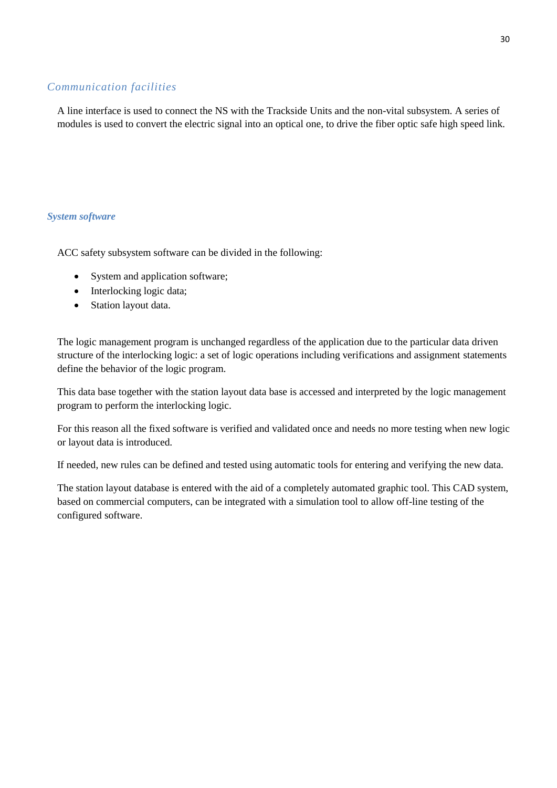### *Communication facilities*

A line interface is used to connect the NS with the Trackside Units and the non-vital subsystem. A series of modules is used to convert the electric signal into an optical one, to drive the fiber optic safe high speed link.

### *System software*

ACC safety subsystem software can be divided in the following:

- System and application software;
- Interlocking logic data;
- Station layout data.

The logic management program is unchanged regardless of the application due to the particular data driven structure of the interlocking logic: a set of logic operations including verifications and assignment statements define the behavior of the logic program.

This data base together with the station layout data base is accessed and interpreted by the logic management program to perform the interlocking logic.

For this reason all the fixed software is verified and validated once and needs no more testing when new logic or layout data is introduced.

If needed, new rules can be defined and tested using automatic tools for entering and verifying the new data.

The station layout database is entered with the aid of a completely automated graphic tool. This CAD system, based on commercial computers, can be integrated with a simulation tool to allow off-line testing of the configured software.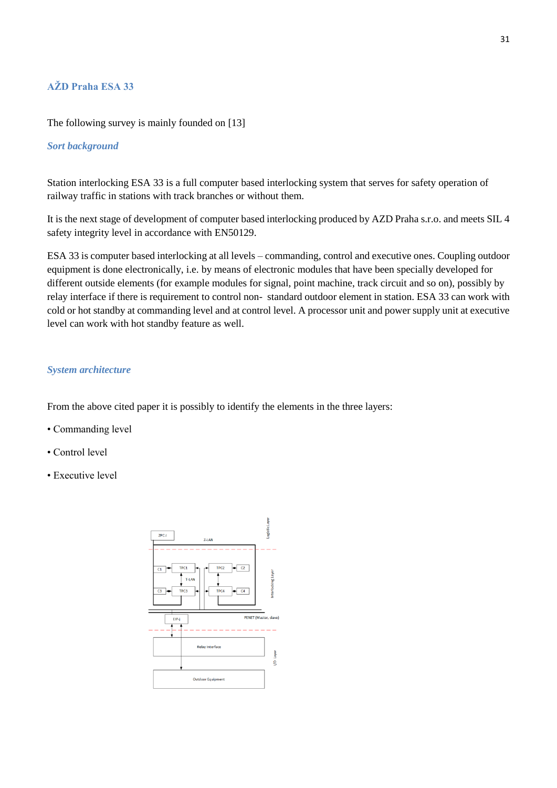### <span id="page-31-0"></span>**AŽD Praha ESA 33**

The following survey is mainly founded on [13]

#### *Sort background*

Station interlocking ESA 33 is a full computer based interlocking system that serves for safety operation of railway traffic in stations with track branches or without them.

It is the next stage of development of computer based interlocking produced by AZD Praha s.r.o. and meets SIL 4 safety integrity level in accordance with EN50129.

ESA 33 is computer based interlocking at all levels – commanding, control and executive ones. Coupling outdoor equipment is done electronically, i.e. by means of electronic modules that have been specially developed for different outside elements (for example modules for signal, point machine, track circuit and so on), possibly by relay interface if there is requirement to control non- standard outdoor element in station. ESA 33 can work with cold or hot standby at commanding level and at control level. A processor unit and power supply unit at executive level can work with hot standby feature as well.

#### *System architecture*

From the above cited paper it is possibly to identify the elements in the three layers:

- Commanding level
- Control level
- Executive level

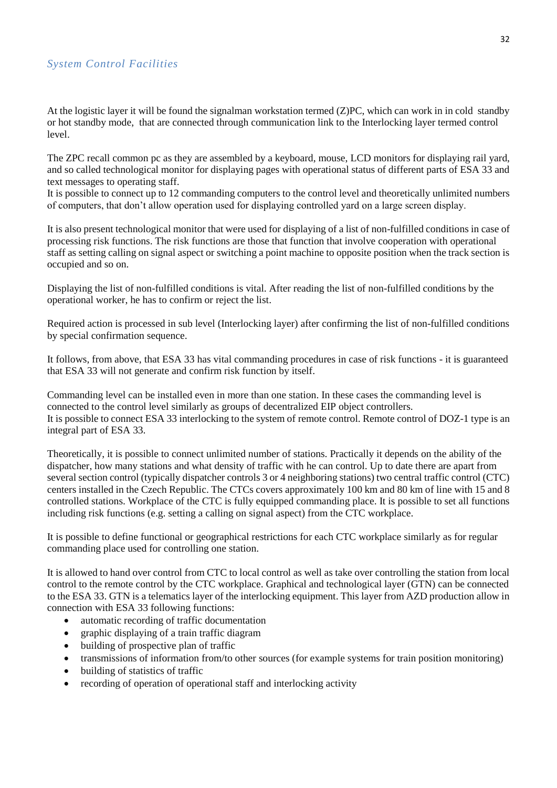### *System Control Facilities*

At the logistic layer it will be found the signalman workstation termed (Z)PC, which can work in in cold standby or hot standby mode, that are connected through communication link to the Interlocking layer termed control level.

The ZPC recall common pc as they are assembled by a keyboard, mouse, LCD monitors for displaying rail yard, and so called technological monitor for displaying pages with operational status of different parts of ESA 33 and text messages to operating staff.

It is possible to connect up to 12 commanding computers to the control level and theoretically unlimited numbers of computers, that don't allow operation used for displaying controlled yard on a large screen display.

It is also present technological monitor that were used for displaying of a list of non-fulfilled conditions in case of processing risk functions. The risk functions are those that function that involve cooperation with operational staff as setting calling on signal aspect or switching a point machine to opposite position when the track section is occupied and so on.

Displaying the list of non-fulfilled conditions is vital. After reading the list of non-fulfilled conditions by the operational worker, he has to confirm or reject the list.

Required action is processed in sub level (Interlocking layer) after confirming the list of non-fulfilled conditions by special confirmation sequence.

It follows, from above, that ESA 33 has vital commanding procedures in case of risk functions - it is guaranteed that ESA 33 will not generate and confirm risk function by itself.

Commanding level can be installed even in more than one station. In these cases the commanding level is connected to the control level similarly as groups of decentralized EIP object controllers. It is possible to connect ESA 33 interlocking to the system of remote control. Remote control of DOZ-1 type is an integral part of ESA 33.

Theoretically, it is possible to connect unlimited number of stations. Practically it depends on the ability of the dispatcher, how many stations and what density of traffic with he can control. Up to date there are apart from several section control (typically dispatcher controls 3 or 4 neighboring stations) two central traffic control (CTC) centers installed in the Czech Republic. The CTCs covers approximately 100 km and 80 km of line with 15 and 8 controlled stations. Workplace of the CTC is fully equipped commanding place. It is possible to set all functions including risk functions (e.g. setting a calling on signal aspect) from the CTC workplace.

It is possible to define functional or geographical restrictions for each CTC workplace similarly as for regular commanding place used for controlling one station.

It is allowed to hand over control from CTC to local control as well as take over controlling the station from local control to the remote control by the CTC workplace. Graphical and technological layer (GTN) can be connected to the ESA 33. GTN is a telematics layer of the interlocking equipment. This layer from AZD production allow in connection with ESA 33 following functions:

- automatic recording of traffic documentation
- graphic displaying of a train traffic diagram
- building of prospective plan of traffic
- transmissions of information from/to other sources (for example systems for train position monitoring)
- building of statistics of traffic
- recording of operation of operational staff and interlocking activity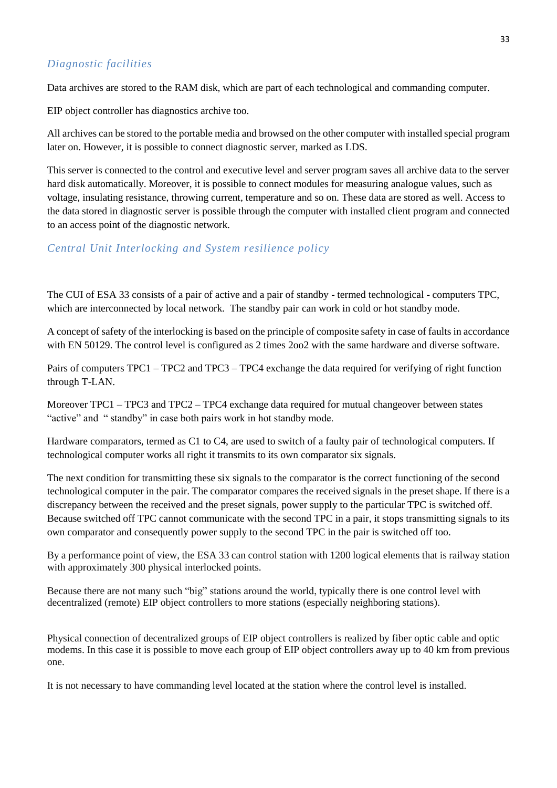### *Diagnostic facilities*

Data archives are stored to the RAM disk, which are part of each technological and commanding computer.

EIP object controller has diagnostics archive too.

All archives can be stored to the portable media and browsed on the other computer with installed special program later on. However, it is possible to connect diagnostic server, marked as LDS.

This server is connected to the control and executive level and server program saves all archive data to the server hard disk automatically. Moreover, it is possible to connect modules for measuring analogue values, such as voltage, insulating resistance, throwing current, temperature and so on. These data are stored as well. Access to the data stored in diagnostic server is possible through the computer with installed client program and connected to an access point of the diagnostic network.

### *Central Unit Interlocking and System resilience policy*

The CUI of ESA 33 consists of a pair of active and a pair of standby - termed technological - computers TPC, which are interconnected by local network. The standby pair can work in cold or hot standby mode.

A concept of safety of the interlocking is based on the principle of composite safety in case of faults in accordance with EN 50129. The control level is configured as 2 times 2002 with the same hardware and diverse software.

Pairs of computers TPC1 – TPC2 and TPC3 – TPC4 exchange the data required for verifying of right function through T-LAN.

Moreover TPC1 – TPC3 and TPC2 – TPC4 exchange data required for mutual changeover between states "active" and " standby" in case both pairs work in hot standby mode.

Hardware comparators, termed as C1 to C4, are used to switch of a faulty pair of technological computers. If technological computer works all right it transmits to its own comparator six signals.

The next condition for transmitting these six signals to the comparator is the correct functioning of the second technological computer in the pair. The comparator compares the received signals in the preset shape. If there is a discrepancy between the received and the preset signals, power supply to the particular TPC is switched off. Because switched off TPC cannot communicate with the second TPC in a pair, it stops transmitting signals to its own comparator and consequently power supply to the second TPC in the pair is switched off too.

By a performance point of view, the ESA 33 can control station with 1200 logical elements that is railway station with approximately 300 physical interlocked points.

Because there are not many such "big" stations around the world, typically there is one control level with decentralized (remote) EIP object controllers to more stations (especially neighboring stations).

Physical connection of decentralized groups of EIP object controllers is realized by fiber optic cable and optic modems. In this case it is possible to move each group of EIP object controllers away up to 40 km from previous one.

It is not necessary to have commanding level located at the station where the control level is installed.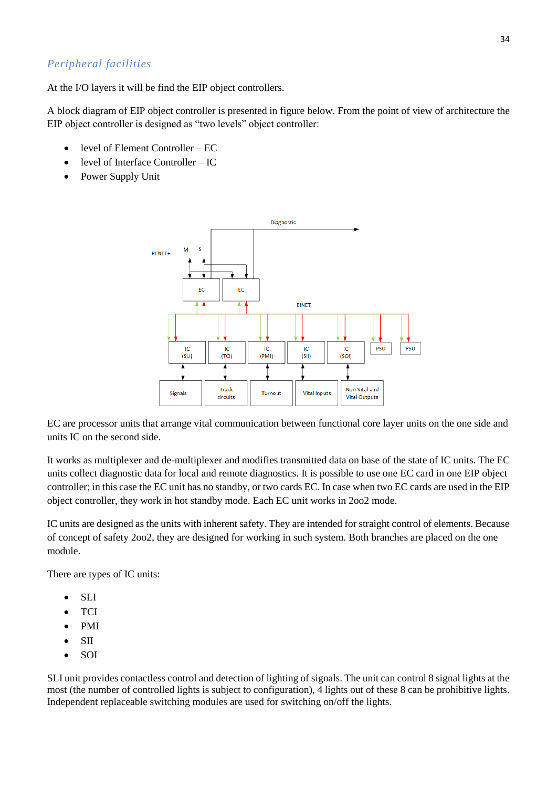### *Peripheral facilities*

At the I/O layers it will be find the EIP object controllers.

A block diagram of EIP object controller is presented in figure below. From the point of view of architecture the EIP object controller is designed as "two levels" object controller:

- level of Element Controller EC
- $\bullet$  level of Interface Controller IC
- Power Supply Unit



EC are processor units that arrange vital communication between functional core layer units on the one side and units IC on the second side.

It works as multiplexer and de-multiplexer and modifies transmitted data on base of the state of IC units. The EC units collect diagnostic data for local and remote diagnostics. It is possible to use one EC card in one EIP object controller; in this case the EC unit has no standby, or two cards EC. In case when two EC cards are used in the EIP object controller, they work in hot standby mode. Each EC unit works in 2oo2 mode.

IC units are designed as the units with inherent safety. They are intended for straight control of elements. Because of concept of safety 2oo2, they are designed for working in such system. Both branches are placed on the one module.

There are types of IC units:

- SLI
- **TCI**
- PMI
- SII
- $\bullet$  SOI

SLI unit provides contactless control and detection of lighting of signals. The unit can control 8 signal lights at the most (the number of controlled lights is subject to configuration), 4 lights out of these 8 can be prohibitive lights. Independent replaceable switching modules are used for switching on/off the lights.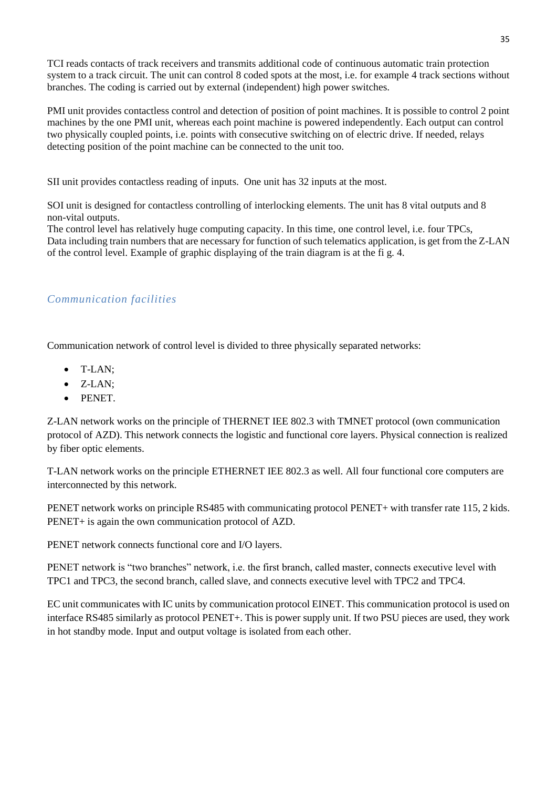TCI reads contacts of track receivers and transmits additional code of continuous automatic train protection system to a track circuit. The unit can control 8 coded spots at the most, i.e. for example 4 track sections without branches. The coding is carried out by external (independent) high power switches.

PMI unit provides contactless control and detection of position of point machines. It is possible to control 2 point machines by the one PMI unit, whereas each point machine is powered independently. Each output can control two physically coupled points, i.e. points with consecutive switching on of electric drive. If needed, relays detecting position of the point machine can be connected to the unit too.

SII unit provides contactless reading of inputs. One unit has 32 inputs at the most.

SOI unit is designed for contactless controlling of interlocking elements. The unit has 8 vital outputs and 8 non-vital outputs.

The control level has relatively huge computing capacity. In this time, one control level, i.e. four TPCs, Data including train numbers that are necessary for function of such telematics application, is get from the Z-LAN of the control level. Example of graphic displaying of the train diagram is at the fi g. 4.

### *Communication facilities*

Communication network of control level is divided to three physically separated networks:

- T-LAN;
- Z-LAN:
- **PENET**

Z-LAN network works on the principle of THERNET IEE 802.3 with TMNET protocol (own communication protocol of AZD). This network connects the logistic and functional core layers. Physical connection is realized by fiber optic elements.

T-LAN network works on the principle ETHERNET IEE 802.3 as well. All four functional core computers are interconnected by this network.

PENET network works on principle RS485 with communicating protocol PENET+ with transfer rate 115, 2 kids. PENET+ is again the own communication protocol of AZD.

PENET network connects functional core and I/O layers.

PENET network is "two branches" network, i.e. the first branch, called master, connects executive level with TPC1 and TPC3, the second branch, called slave, and connects executive level with TPC2 and TPC4.

EC unit communicates with IC units by communication protocol EINET. This communication protocol is used on interface RS485 similarly as protocol PENET+. This is power supply unit. If two PSU pieces are used, they work in hot standby mode. Input and output voltage is isolated from each other.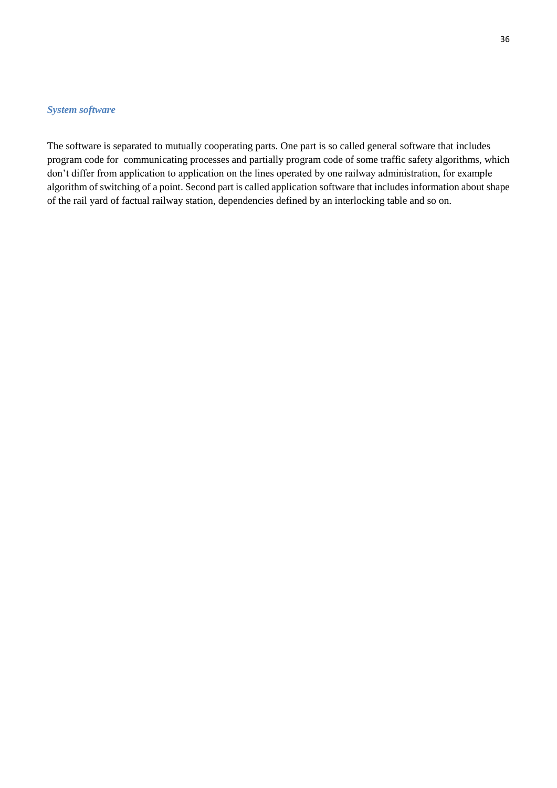### *System software*

The software is separated to mutually cooperating parts. One part is so called general software that includes program code for communicating processes and partially program code of some traffic safety algorithms, which don't differ from application to application on the lines operated by one railway administration, for example algorithm of switching of a point. Second part is called application software that includes information about shape of the rail yard of factual railway station, dependencies defined by an interlocking table and so on.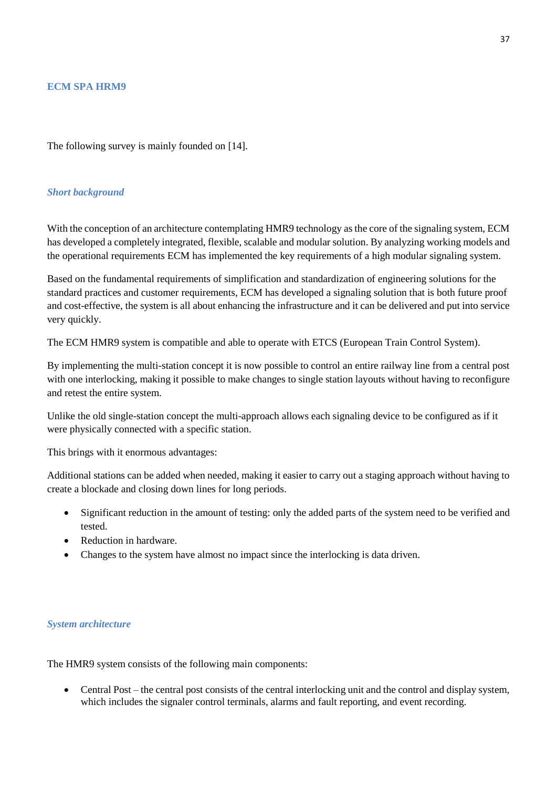<span id="page-37-0"></span>The following survey is mainly founded on [14].

#### *Short background*

With the conception of an architecture contemplating HMR9 technology as the core of the signaling system, ECM has developed a completely integrated, flexible, scalable and modular solution. By analyzing working models and the operational requirements ECM has implemented the key requirements of a high modular signaling system.

Based on the fundamental requirements of simplification and standardization of engineering solutions for the standard practices and customer requirements, ECM has developed a signaling solution that is both future proof and cost-effective, the system is all about enhancing the infrastructure and it can be delivered and put into service very quickly.

The ECM HMR9 system is compatible and able to operate with ETCS (European Train Control System).

By implementing the multi-station concept it is now possible to control an entire railway line from a central post with one interlocking, making it possible to make changes to single station layouts without having to reconfigure and retest the entire system.

Unlike the old single-station concept the multi-approach allows each signaling device to be configured as if it were physically connected with a specific station.

This brings with it enormous advantages:

Additional stations can be added when needed, making it easier to carry out a staging approach without having to create a blockade and closing down lines for long periods.

- Significant reduction in the amount of testing: only the added parts of the system need to be verified and tested.
- Reduction in hardware.
- Changes to the system have almost no impact since the interlocking is data driven.

#### *System architecture*

The HMR9 system consists of the following main components:

 Central Post – the central post consists of the central interlocking unit and the control and display system, which includes the signaler control terminals, alarms and fault reporting, and event recording.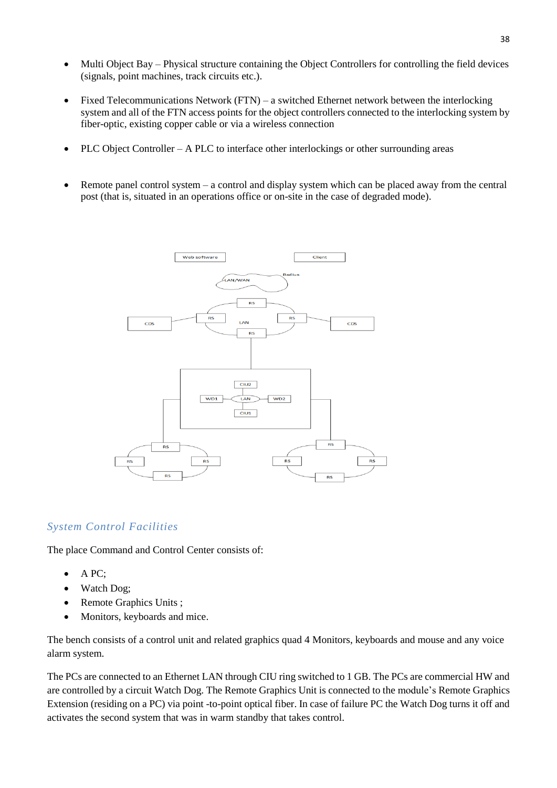- Multi Object Bay Physical structure containing the Object Controllers for controlling the field devices (signals, point machines, track circuits etc.).
- Fixed Telecommunications Network (FTN) a switched Ethernet network between the interlocking system and all of the FTN access points for the object controllers connected to the interlocking system by fiber-optic, existing copper cable or via a wireless connection
- PLC Object Controller A PLC to interface other interlockings or other surrounding areas
- Remote panel control system a control and display system which can be placed away from the central post (that is, situated in an operations office or on-site in the case of degraded mode).



### *System Control Facilities*

The place Command and Control Center consists of:

- $\bullet$  A PC;
- Watch Dog;
- Remote Graphics Units;
- Monitors, keyboards and mice.

The bench consists of a control unit and related graphics quad 4 Monitors, keyboards and mouse and any voice alarm system.

The PCs are connected to an Ethernet LAN through CIU ring switched to 1 GB. The PCs are commercial HW and are controlled by a circuit Watch Dog. The Remote Graphics Unit is connected to the module's Remote Graphics Extension (residing on a PC) via point -to-point optical fiber. In case of failure PC the Watch Dog turns it off and activates the second system that was in warm standby that takes control.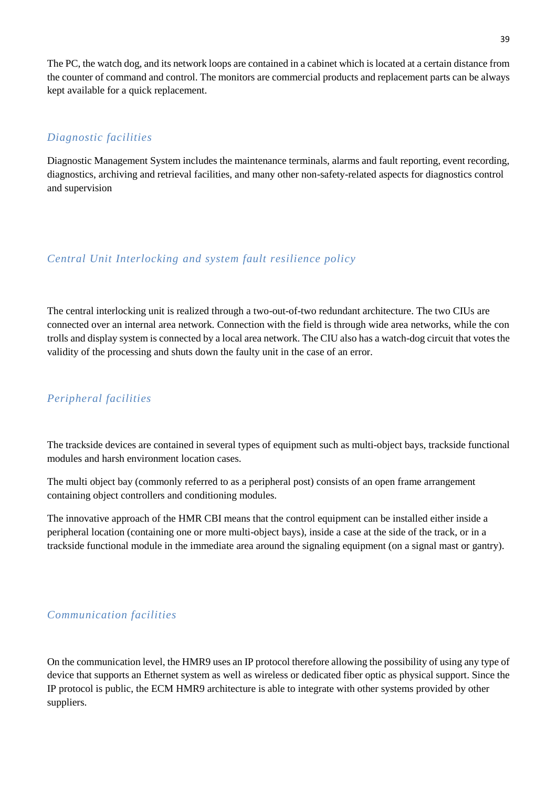The PC, the watch dog, and its network loops are contained in a cabinet which is located at a certain distance from the counter of command and control. The monitors are commercial products and replacement parts can be always kept available for a quick replacement.

### *Diagnostic facilities*

Diagnostic Management System includes the maintenance terminals, alarms and fault reporting, event recording, diagnostics, archiving and retrieval facilities, and many other non-safety-related aspects for diagnostics control and supervision

### *Central Unit Interlocking and system fault resilience policy*

The central interlocking unit is realized through a two-out-of-two redundant architecture. The two CIUs are connected over an internal area network. Connection with the field is through wide area networks, while the con trolls and display system is connected by a local area network. The CIU also has a watch-dog circuit that votes the validity of the processing and shuts down the faulty unit in the case of an error.

### *Peripheral facilities*

The trackside devices are contained in several types of equipment such as multi-object bays, trackside functional modules and harsh environment location cases.

The multi object bay (commonly referred to as a peripheral post) consists of an open frame arrangement containing object controllers and conditioning modules.

The innovative approach of the HMR CBI means that the control equipment can be installed either inside a peripheral location (containing one or more multi-object bays), inside a case at the side of the track, or in a trackside functional module in the immediate area around the signaling equipment (on a signal mast or gantry).

#### *Communication facilities*

On the communication level, the HMR9 uses an IP protocol therefore allowing the possibility of using any type of device that supports an Ethernet system as well as wireless or dedicated fiber optic as physical support. Since the IP protocol is public, the ECM HMR9 architecture is able to integrate with other systems provided by other suppliers.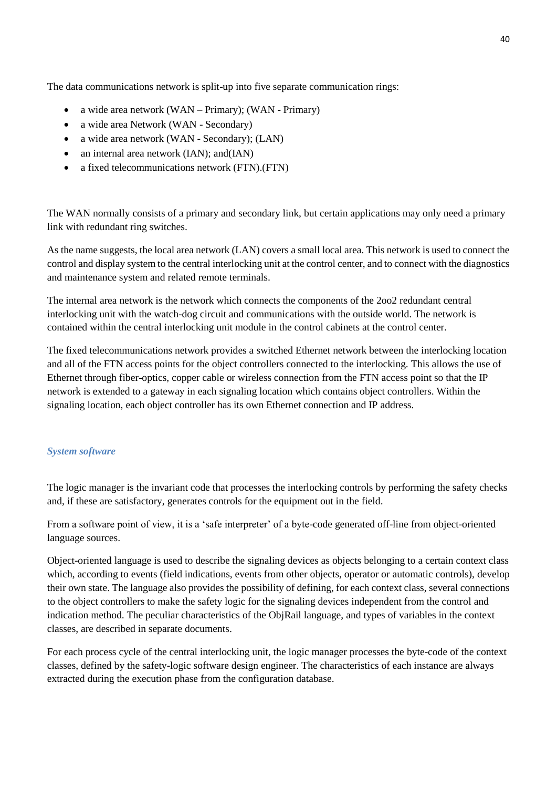The data communications network is split-up into five separate communication rings:

- a wide area network (WAN Primary); (WAN Primary)
- a wide area Network (WAN Secondary)
- a wide area network (WAN Secondary); (LAN)
- an internal area network (IAN); and(IAN)
- a fixed telecommunications network (FTN).(FTN)

The WAN normally consists of a primary and secondary link, but certain applications may only need a primary link with redundant ring switches.

As the name suggests, the local area network (LAN) covers a small local area. This network is used to connect the control and display system to the central interlocking unit at the control center, and to connect with the diagnostics and maintenance system and related remote terminals.

The internal area network is the network which connects the components of the 2oo2 redundant central interlocking unit with the watch-dog circuit and communications with the outside world. The network is contained within the central interlocking unit module in the control cabinets at the control center.

The fixed telecommunications network provides a switched Ethernet network between the interlocking location and all of the FTN access points for the object controllers connected to the interlocking. This allows the use of Ethernet through fiber-optics, copper cable or wireless connection from the FTN access point so that the IP network is extended to a gateway in each signaling location which contains object controllers. Within the signaling location, each object controller has its own Ethernet connection and IP address.

#### *System software*

The logic manager is the invariant code that processes the interlocking controls by performing the safety checks and, if these are satisfactory, generates controls for the equipment out in the field.

From a software point of view, it is a 'safe interpreter' of a byte-code generated off-line from object-oriented language sources.

Object-oriented language is used to describe the signaling devices as objects belonging to a certain context class which, according to events (field indications, events from other objects, operator or automatic controls), develop their own state. The language also provides the possibility of defining, for each context class, several connections to the object controllers to make the safety logic for the signaling devices independent from the control and indication method. The peculiar characteristics of the ObjRail language, and types of variables in the context classes, are described in separate documents.

For each process cycle of the central interlocking unit, the logic manager processes the byte-code of the context classes, defined by the safety-logic software design engineer. The characteristics of each instance are always extracted during the execution phase from the configuration database.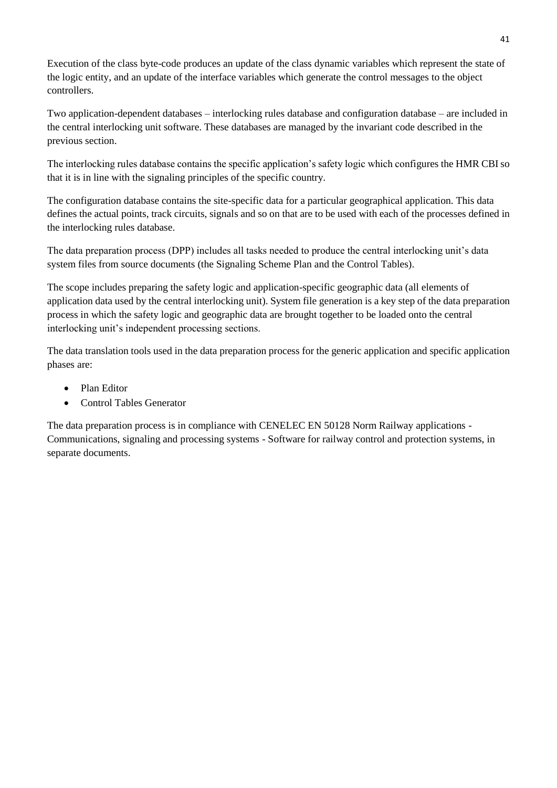Execution of the class byte-code produces an update of the class dynamic variables which represent the state of the logic entity, and an update of the interface variables which generate the control messages to the object controllers.

Two application-dependent databases – interlocking rules database and configuration database – are included in the central interlocking unit software. These databases are managed by the invariant code described in the previous section.

The interlocking rules database contains the specific application's safety logic which configures the HMR CBI so that it is in line with the signaling principles of the specific country.

The configuration database contains the site-specific data for a particular geographical application. This data defines the actual points, track circuits, signals and so on that are to be used with each of the processes defined in the interlocking rules database.

The data preparation process (DPP) includes all tasks needed to produce the central interlocking unit's data system files from source documents (the Signaling Scheme Plan and the Control Tables).

The scope includes preparing the safety logic and application-specific geographic data (all elements of application data used by the central interlocking unit). System file generation is a key step of the data preparation process in which the safety logic and geographic data are brought together to be loaded onto the central interlocking unit's independent processing sections.

The data translation tools used in the data preparation process for the generic application and specific application phases are:

- Plan Editor
- Control Tables Generator

The data preparation process is in compliance with CENELEC EN 50128 Norm Railway applications - Communications, signaling and processing systems - Software for railway control and protection systems, in separate documents.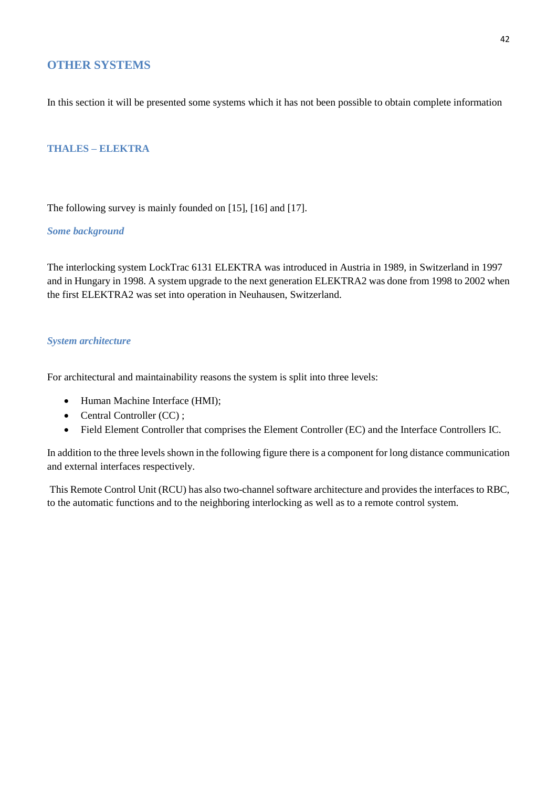### <span id="page-42-0"></span>**OTHER SYSTEMS**

In this section it will be presented some systems which it has not been possible to obtain complete information

### <span id="page-42-1"></span>**THALES – ELEKTRA**

#### The following survey is mainly founded on [15], [16] and [17].

#### *Some background*

The interlocking system LockTrac 6131 ELEKTRA was introduced in Austria in 1989, in Switzerland in 1997 and in Hungary in 1998. A system upgrade to the next generation ELEKTRA2 was done from 1998 to 2002 when the first ELEKTRA2 was set into operation in Neuhausen, Switzerland.

#### *System architecture*

For architectural and maintainability reasons the system is split into three levels:

- Human Machine Interface (HMI);
- Central Controller (CC) ;
- Field Element Controller that comprises the Element Controller (EC) and the Interface Controllers IC.

In addition to the three levels shown in the following figure there is a component for long distance communication and external interfaces respectively.

This Remote Control Unit (RCU) has also two-channel software architecture and provides the interfaces to RBC, to the automatic functions and to the neighboring interlocking as well as to a remote control system.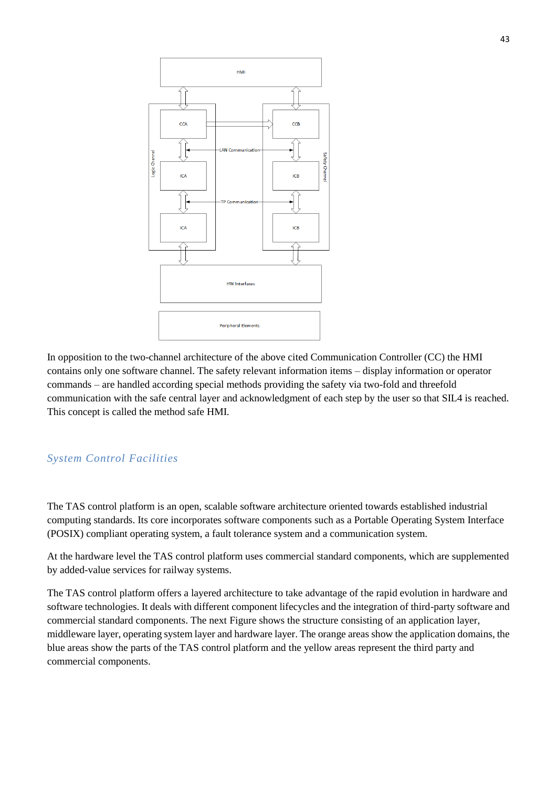

In opposition to the two-channel architecture of the above cited Communication Controller (CC) the HMI contains only one software channel. The safety relevant information items – display information or operator commands – are handled according special methods providing the safety via two-fold and threefold communication with the safe central layer and acknowledgment of each step by the user so that SIL4 is reached. This concept is called the method safe HMI.

### *System Control Facilities*

The TAS control platform is an open, scalable software architecture oriented towards established industrial computing standards. Its core incorporates software components such as a Portable Operating System Interface (POSIX) compliant operating system, a fault tolerance system and a communication system.

At the hardware level the TAS control platform uses commercial standard components, which are supplemented by added-value services for railway systems.

The TAS control platform offers a layered architecture to take advantage of the rapid evolution in hardware and software technologies. It deals with different component lifecycles and the integration of third-party software and commercial standard components. The next Figure shows the structure consisting of an application layer, middleware layer, operating system layer and hardware layer. The orange areas show the application domains, the blue areas show the parts of the TAS control platform and the yellow areas represent the third party and commercial components.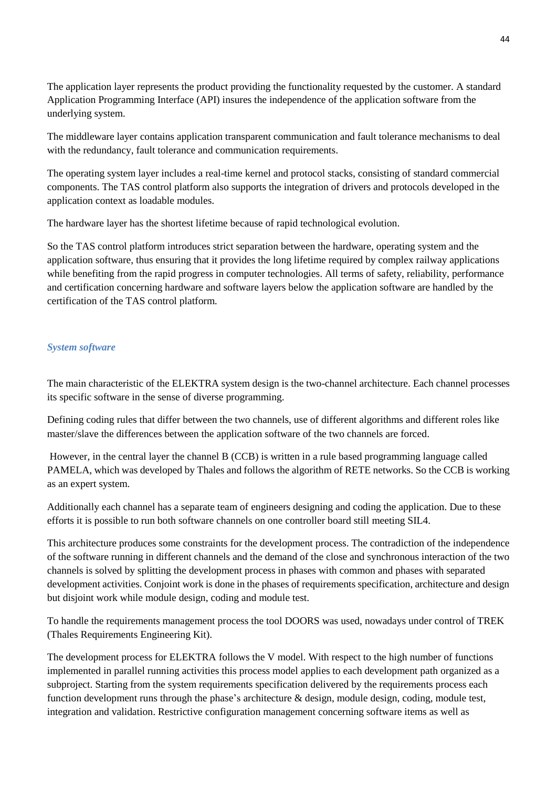The application layer represents the product providing the functionality requested by the customer. A standard Application Programming Interface (API) insures the independence of the application software from the underlying system.

The middleware layer contains application transparent communication and fault tolerance mechanisms to deal with the redundancy, fault tolerance and communication requirements.

The operating system layer includes a real-time kernel and protocol stacks, consisting of standard commercial components. The TAS control platform also supports the integration of drivers and protocols developed in the application context as loadable modules.

The hardware layer has the shortest lifetime because of rapid technological evolution.

So the TAS control platform introduces strict separation between the hardware, operating system and the application software, thus ensuring that it provides the long lifetime required by complex railway applications while benefiting from the rapid progress in computer technologies. All terms of safety, reliability, performance and certification concerning hardware and software layers below the application software are handled by the certification of the TAS control platform.

### *System software*

The main characteristic of the ELEKTRA system design is the two-channel architecture. Each channel processes its specific software in the sense of diverse programming.

Defining coding rules that differ between the two channels, use of different algorithms and different roles like master/slave the differences between the application software of the two channels are forced.

However, in the central layer the channel B (CCB) is written in a rule based programming language called PAMELA, which was developed by Thales and follows the algorithm of RETE networks. So the CCB is working as an expert system.

Additionally each channel has a separate team of engineers designing and coding the application. Due to these efforts it is possible to run both software channels on one controller board still meeting SIL4.

This architecture produces some constraints for the development process. The contradiction of the independence of the software running in different channels and the demand of the close and synchronous interaction of the two channels is solved by splitting the development process in phases with common and phases with separated development activities. Conjoint work is done in the phases of requirements specification, architecture and design but disjoint work while module design, coding and module test.

To handle the requirements management process the tool DOORS was used, nowadays under control of TREK (Thales Requirements Engineering Kit).

The development process for ELEKTRA follows the V model. With respect to the high number of functions implemented in parallel running activities this process model applies to each development path organized as a subproject. Starting from the system requirements specification delivered by the requirements process each function development runs through the phase's architecture & design, module design, coding, module test, integration and validation. Restrictive configuration management concerning software items as well as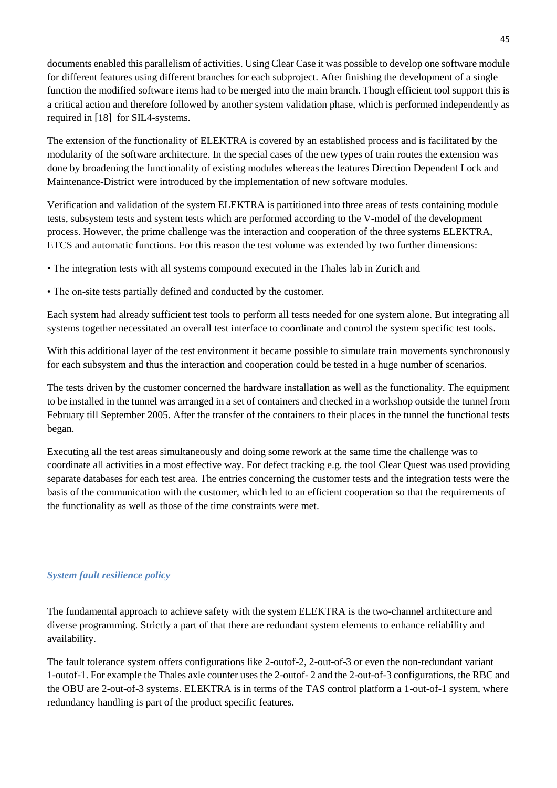documents enabled this parallelism of activities. Using Clear Case it was possible to develop one software module for different features using different branches for each subproject. After finishing the development of a single function the modified software items had to be merged into the main branch. Though efficient tool support this is a critical action and therefore followed by another system validation phase, which is performed independently as required in [18] for SIL4-systems.

The extension of the functionality of ELEKTRA is covered by an established process and is facilitated by the modularity of the software architecture. In the special cases of the new types of train routes the extension was done by broadening the functionality of existing modules whereas the features Direction Dependent Lock and Maintenance-District were introduced by the implementation of new software modules.

Verification and validation of the system ELEKTRA is partitioned into three areas of tests containing module tests, subsystem tests and system tests which are performed according to the V-model of the development process. However, the prime challenge was the interaction and cooperation of the three systems ELEKTRA, ETCS and automatic functions. For this reason the test volume was extended by two further dimensions:

• The integration tests with all systems compound executed in the Thales lab in Zurich and

• The on-site tests partially defined and conducted by the customer.

Each system had already sufficient test tools to perform all tests needed for one system alone. But integrating all systems together necessitated an overall test interface to coordinate and control the system specific test tools.

With this additional layer of the test environment it became possible to simulate train movements synchronously for each subsystem and thus the interaction and cooperation could be tested in a huge number of scenarios.

The tests driven by the customer concerned the hardware installation as well as the functionality. The equipment to be installed in the tunnel was arranged in a set of containers and checked in a workshop outside the tunnel from February till September 2005. After the transfer of the containers to their places in the tunnel the functional tests began.

Executing all the test areas simultaneously and doing some rework at the same time the challenge was to coordinate all activities in a most effective way. For defect tracking e.g. the tool Clear Quest was used providing separate databases for each test area. The entries concerning the customer tests and the integration tests were the basis of the communication with the customer, which led to an efficient cooperation so that the requirements of the functionality as well as those of the time constraints were met.

### *System fault resilience policy*

The fundamental approach to achieve safety with the system ELEKTRA is the two-channel architecture and diverse programming. Strictly a part of that there are redundant system elements to enhance reliability and availability.

The fault tolerance system offers configurations like 2-outof-2, 2-out-of-3 or even the non-redundant variant 1-outof-1. For example the Thales axle counter uses the 2-outof- 2 and the 2-out-of-3 configurations, the RBC and the OBU are 2-out-of-3 systems. ELEKTRA is in terms of the TAS control platform a 1-out-of-1 system, where redundancy handling is part of the product specific features.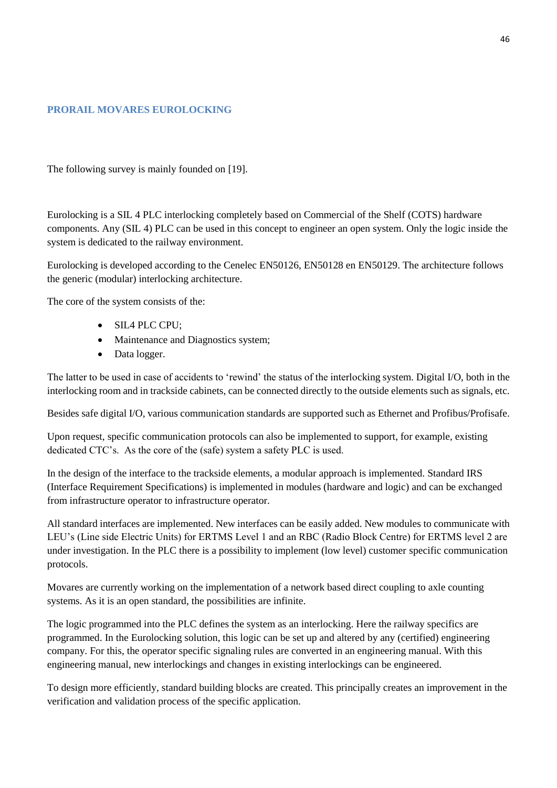### <span id="page-46-0"></span>**PRORAIL MOVARES EUROLOCKING**

The following survey is mainly founded on [19].

Eurolocking is a SIL 4 PLC interlocking completely based on Commercial of the Shelf (COTS) hardware components. Any (SIL 4) PLC can be used in this concept to engineer an open system. Only the logic inside the system is dedicated to the railway environment.

Eurolocking is developed according to the Cenelec EN50126, EN50128 en EN50129. The architecture follows the generic (modular) interlocking architecture.

The core of the system consists of the:

- SIL4 PLC CPU;
- Maintenance and Diagnostics system;
- Data logger.

The latter to be used in case of accidents to 'rewind' the status of the interlocking system. Digital I/O, both in the interlocking room and in trackside cabinets, can be connected directly to the outside elements such as signals, etc.

Besides safe digital I/O, various communication standards are supported such as Ethernet and Profibus/Profisafe.

Upon request, specific communication protocols can also be implemented to support, for example, existing dedicated CTC's. As the core of the (safe) system a safety PLC is used.

In the design of the interface to the trackside elements, a modular approach is implemented. Standard IRS (Interface Requirement Specifications) is implemented in modules (hardware and logic) and can be exchanged from infrastructure operator to infrastructure operator.

All standard interfaces are implemented. New interfaces can be easily added. New modules to communicate with LEU's (Line side Electric Units) for ERTMS Level 1 and an RBC (Radio Block Centre) for ERTMS level 2 are under investigation. In the PLC there is a possibility to implement (low level) customer specific communication protocols.

Movares are currently working on the implementation of a network based direct coupling to axle counting systems. As it is an open standard, the possibilities are infinite.

The logic programmed into the PLC defines the system as an interlocking. Here the railway specifics are programmed. In the Eurolocking solution, this logic can be set up and altered by any (certified) engineering company. For this, the operator specific signaling rules are converted in an engineering manual. With this engineering manual, new interlockings and changes in existing interlockings can be engineered.

To design more efficiently, standard building blocks are created. This principally creates an improvement in the verification and validation process of the specific application.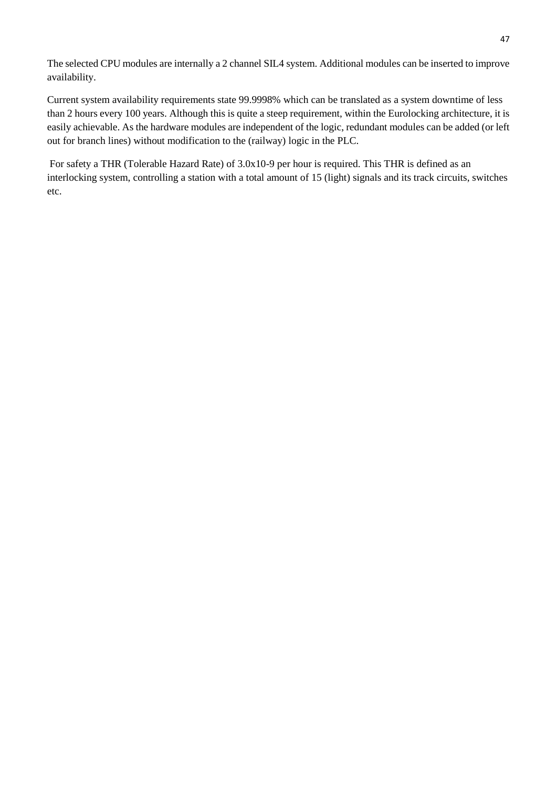The selected CPU modules are internally a 2 channel SIL4 system. Additional modules can be inserted to improve availability.

Current system availability requirements state 99.9998% which can be translated as a system downtime of less than 2 hours every 100 years. Although this is quite a steep requirement, within the Eurolocking architecture, it is easily achievable. As the hardware modules are independent of the logic, redundant modules can be added (or left out for branch lines) without modification to the (railway) logic in the PLC.

For safety a THR (Tolerable Hazard Rate) of 3.0x10-9 per hour is required. This THR is defined as an interlocking system, controlling a station with a total amount of 15 (light) signals and its track circuits, switches etc.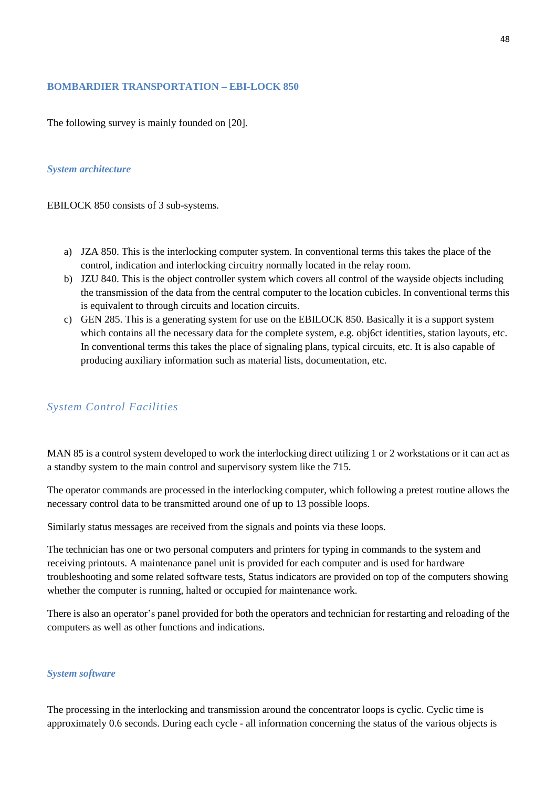#### <span id="page-48-0"></span>**BOMBARDIER TRANSPORTATION – EBI-LOCK 850**

The following survey is mainly founded on [20].

#### *System architecture*

EBILOCK 850 consists of 3 sub-systems.

- a) JZA 850. This is the interlocking computer system. In conventional terms this takes the place of the control, indication and interlocking circuitry normally located in the relay room.
- b) JZU 840. This is the object controller system which covers all control of the wayside objects including the transmission of the data from the central computer to the location cubicles. In conventional terms this is equivalent to through circuits and location circuits.
- c) GEN 285. This is a generating system for use on the EBILOCK 850. Basically it is a support system which contains all the necessary data for the complete system, e.g. obj6ct identities, station layouts, etc. In conventional terms this takes the place of signaling plans, typical circuits, etc. It is also capable of producing auxiliary information such as material lists, documentation, etc.

### *System Control Facilities*

MAN 85 is a control system developed to work the interlocking direct utilizing 1 or 2 workstations or it can act as a standby system to the main control and supervisory system like the 715.

The operator commands are processed in the interlocking computer, which following a pretest routine allows the necessary control data to be transmitted around one of up to 13 possible loops.

Similarly status messages are received from the signals and points via these loops.

The technician has one or two personal computers and printers for typing in commands to the system and receiving printouts. A maintenance panel unit is provided for each computer and is used for hardware troubleshooting and some related software tests, Status indicators are provided on top of the computers showing whether the computer is running, halted or occupied for maintenance work.

There is also an operator's panel provided for both the operators and technician for restarting and reloading of the computers as well as other functions and indications.

#### *System software*

The processing in the interlocking and transmission around the concentrator loops is cyclic. Cyclic time is approximately 0.6 seconds. During each cycle - all information concerning the status of the various objects is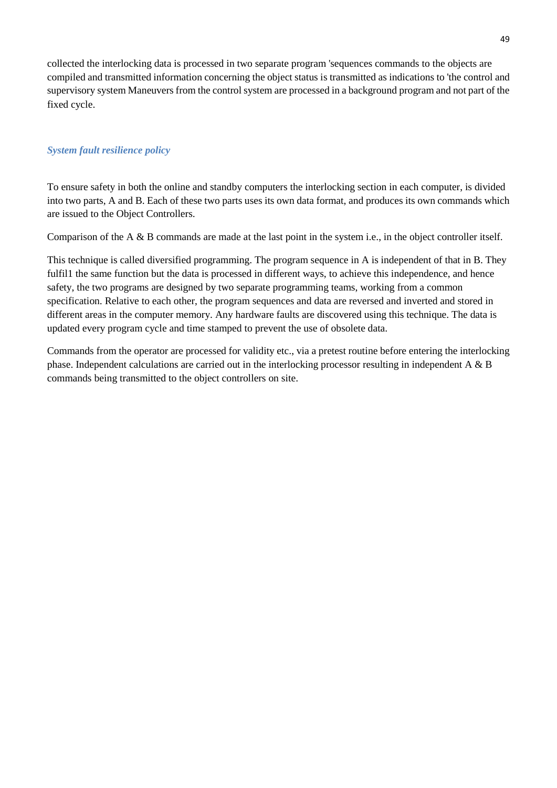collected the interlocking data is processed in two separate program 'sequences commands to the objects are compiled and transmitted information concerning the object status is transmitted as indications to 'the control and supervisory system Maneuvers from the control system are processed in a background program and not part of the fixed cycle.

### *System fault resilience policy*

To ensure safety in both the online and standby computers the interlocking section in each computer, is divided into two parts, A and B. Each of these two parts uses its own data format, and produces its own commands which are issued to the Object Controllers.

Comparison of the A & B commands are made at the last point in the system i.e., in the object controller itself.

This technique is called diversified programming. The program sequence in A is independent of that in B. They fulfil1 the same function but the data is processed in different ways, to achieve this independence, and hence safety, the two programs are designed by two separate programming teams, working from a common specification. Relative to each other, the program sequences and data are reversed and inverted and stored in different areas in the computer memory. Any hardware faults are discovered using this technique. The data is updated every program cycle and time stamped to prevent the use of obsolete data.

Commands from the operator are processed for validity etc., via a pretest routine before entering the interlocking phase. Independent calculations are carried out in the interlocking processor resulting in independent A & B commands being transmitted to the object controllers on site.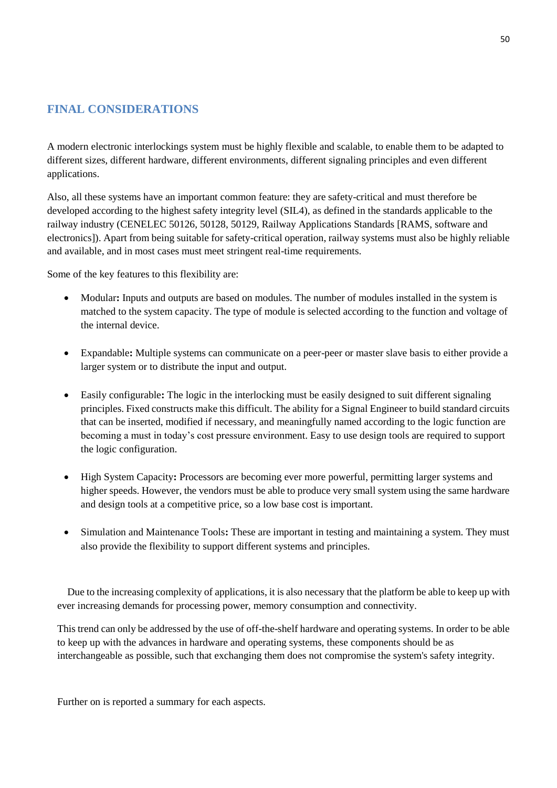### <span id="page-50-0"></span>**FINAL CONSIDERATIONS**

A modern electronic interlockings system must be highly flexible and scalable, to enable them to be adapted to different sizes, different hardware, different environments, different signaling principles and even different applications.

Also, all these systems have an important common feature: they are safety-critical and must therefore be developed according to the highest safety integrity level (SIL4), as defined in the standards applicable to the railway industry (CENELEC 50126, 50128, 50129, Railway Applications Standards [RAMS, software and electronics]). Apart from being suitable for safety-critical operation, railway systems must also be highly reliable and available, and in most cases must meet stringent real-time requirements.

Some of the key features to this flexibility are:

- Modular: Inputs and outputs are based on modules. The number of modules installed in the system is matched to the system capacity. The type of module is selected according to the function and voltage of the internal device.
- Expandable**:** Multiple systems can communicate on a peer-peer or master slave basis to either provide a larger system or to distribute the input and output.
- Easily configurable**:** The logic in the interlocking must be easily designed to suit different signaling principles. Fixed constructs make this difficult. The ability for a Signal Engineer to build standard circuits that can be inserted, modified if necessary, and meaningfully named according to the logic function are becoming a must in today's cost pressure environment. Easy to use design tools are required to support the logic configuration.
- High System Capacity**:** Processors are becoming ever more powerful, permitting larger systems and higher speeds. However, the vendors must be able to produce very small system using the same hardware and design tools at a competitive price, so a low base cost is important.
- Simulation and Maintenance Tools**:** These are important in testing and maintaining a system. They must also provide the flexibility to support different systems and principles.

Due to the increasing complexity of applications, it is also necessary that the platform be able to keep up with ever increasing demands for processing power, memory consumption and connectivity.

This trend can only be addressed by the use of off-the-shelf hardware and operating systems. In order to be able to keep up with the advances in hardware and operating systems, these components should be as interchangeable as possible, such that exchanging them does not compromise the system's safety integrity.

Further on is reported a summary for each aspects.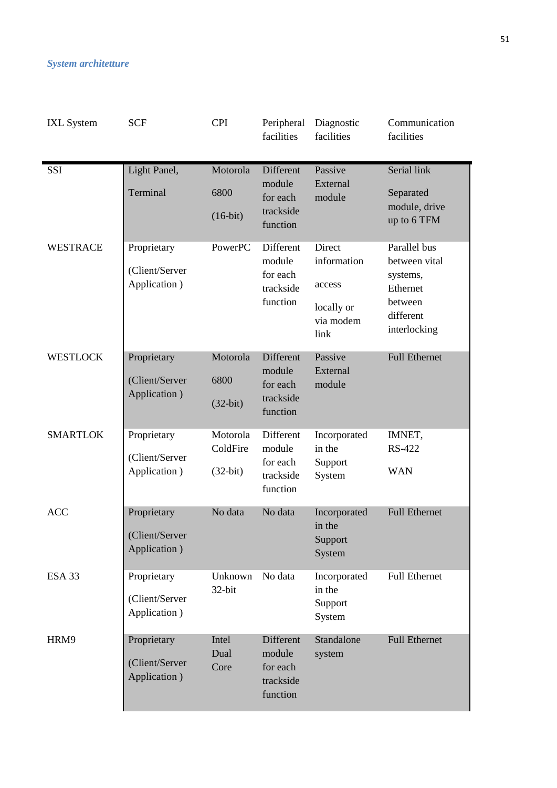| <b>IXL</b> System | <b>SCF</b>                                    | <b>CPI</b>                         | Peripheral<br>facilities                                        | Diagnostic<br>facilities                                           | Communication<br>facilities                                                                   |
|-------------------|-----------------------------------------------|------------------------------------|-----------------------------------------------------------------|--------------------------------------------------------------------|-----------------------------------------------------------------------------------------------|
| SSI               | Light Panel,<br>Terminal                      | Motorola<br>6800<br>$(16-bit)$     | <b>Different</b><br>module<br>for each<br>trackside<br>function | Passive<br>External<br>module                                      | Serial link<br>Separated<br>module, drive<br>up to 6 TFM                                      |
| <b>WESTRACE</b>   | Proprietary<br>(Client/Server<br>Application) | PowerPC                            | Different<br>module<br>for each<br>trackside<br>function        | Direct<br>information<br>access<br>locally or<br>via modem<br>link | Parallel bus<br>between vital<br>systems,<br>Ethernet<br>between<br>different<br>interlocking |
| <b>WESTLOCK</b>   | Proprietary<br>(Client/Server<br>Application) | Motorola<br>6800<br>$(32-bit)$     | Different<br>module<br>for each<br>trackside<br>function        | Passive<br>External<br>module                                      | <b>Full Ethernet</b>                                                                          |
| <b>SMARTLOK</b>   | Proprietary<br>(Client/Server<br>Application) | Motorola<br>ColdFire<br>$(32-bit)$ | Different<br>module<br>for each<br>trackside<br>function        | Incorporated<br>in the<br>Support<br>System                        | IMNET,<br>RS-422<br><b>WAN</b>                                                                |
| <b>ACC</b>        | Proprietary<br>(Client/Server<br>Application) | No data                            | No data                                                         | Incorporated<br>in the<br>Support<br>System                        | <b>Full Ethernet</b>                                                                          |
| <b>ESA 33</b>     | Proprietary<br>(Client/Server<br>Application) | Unknown<br>32-bit                  | No data                                                         | Incorporated<br>in the<br>Support<br>System                        | <b>Full Ethernet</b>                                                                          |
| HRM9              | Proprietary<br>(Client/Server<br>Application) | Intel<br>Dual<br>Core              | Different<br>module<br>for each<br>trackside<br>function        | Standalone<br>system                                               | <b>Full Ethernet</b>                                                                          |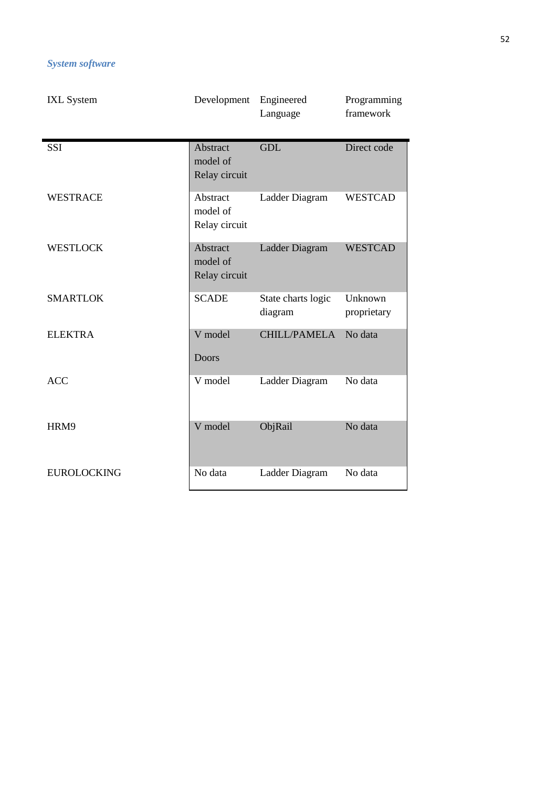### *System software*

| <b>IXL</b> System  | Development                           | Engineered<br>Language        | Programming<br>framework |
|--------------------|---------------------------------------|-------------------------------|--------------------------|
| <b>SSI</b>         | Abstract<br>model of<br>Relay circuit | <b>GDL</b>                    | Direct code              |
| <b>WESTRACE</b>    | Abstract<br>model of<br>Relay circuit | Ladder Diagram                | <b>WESTCAD</b>           |
| <b>WESTLOCK</b>    | Abstract<br>model of<br>Relay circuit | Ladder Diagram                | <b>WESTCAD</b>           |
| <b>SMARTLOK</b>    | <b>SCADE</b>                          | State charts logic<br>diagram | Unknown<br>proprietary   |
| <b>ELEKTRA</b>     | V model<br>Doors                      | <b>CHILL/PAMELA</b>           | No data                  |
| <b>ACC</b>         | V model                               | Ladder Diagram                | No data                  |
| HRM9               | V model                               | ObjRail                       | No data                  |
| <b>EUROLOCKING</b> | No data                               | Ladder Diagram                | No data                  |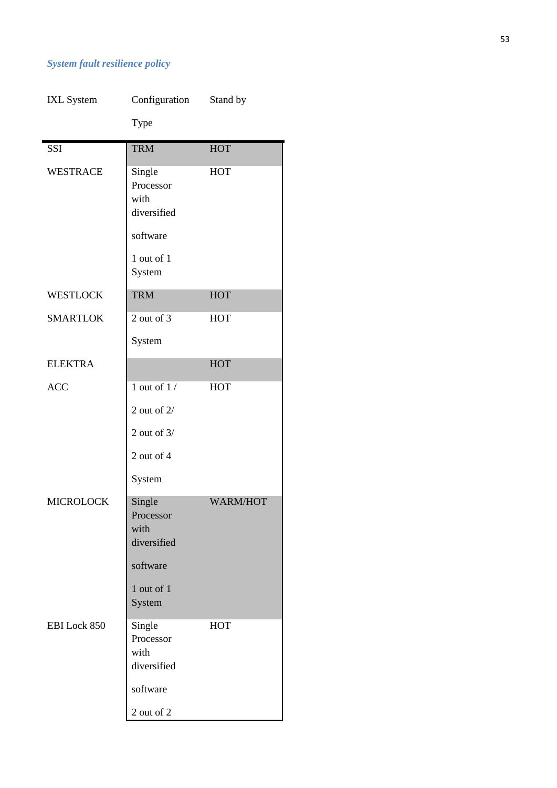### *System fault resilience policy*

| <b>IXL</b> System | Configuration                              | Stand by        |
|-------------------|--------------------------------------------|-----------------|
|                   | Type                                       |                 |
| SSI               | <b>TRM</b>                                 | <b>HOT</b>      |
| <b>WESTRACE</b>   | Single<br>Processor<br>with<br>diversified | <b>HOT</b>      |
|                   | software                                   |                 |
|                   | 1 out of 1<br>System                       |                 |
| <b>WESTLOCK</b>   | <b>TRM</b>                                 | <b>HOT</b>      |
| <b>SMARTLOK</b>   | 2 out of 3                                 | <b>HOT</b>      |
|                   | System                                     |                 |
| <b>ELEKTRA</b>    |                                            | <b>HOT</b>      |
| <b>ACC</b>        | 1 out of $1/$                              | <b>HOT</b>      |
|                   | 2 out of $2/$                              |                 |
|                   | 2 out of $3/$                              |                 |
|                   | 2 out of 4                                 |                 |
|                   | System                                     |                 |
| <b>MICROLOCK</b>  | Single<br>Processor<br>with<br>diversified | <b>WARM/HOT</b> |
|                   | software                                   |                 |
|                   | 1 out of 1<br>System                       |                 |
| EBI Lock 850      | Single<br>Processor<br>with<br>diversified | <b>HOT</b>      |
|                   | software                                   |                 |
|                   | 2 out of 2                                 |                 |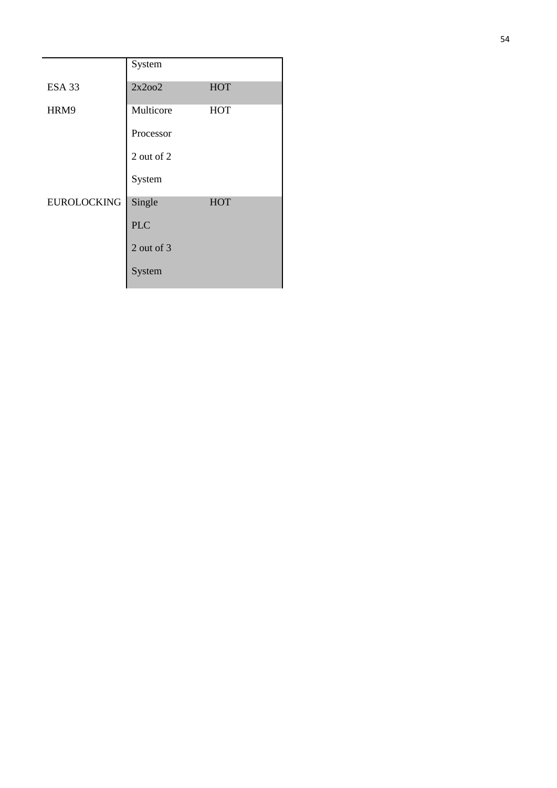|                    | System     |            |
|--------------------|------------|------------|
| <b>ESA 33</b>      | 2x2oo2     | <b>HOT</b> |
| HRM9               | Multicore  | <b>HOT</b> |
|                    | Processor  |            |
|                    | 2 out of 2 |            |
|                    | System     |            |
| <b>EUROLOCKING</b> | Single     | <b>HOT</b> |
|                    | <b>PLC</b> |            |
|                    | 2 out of 3 |            |
|                    | System     |            |
|                    |            |            |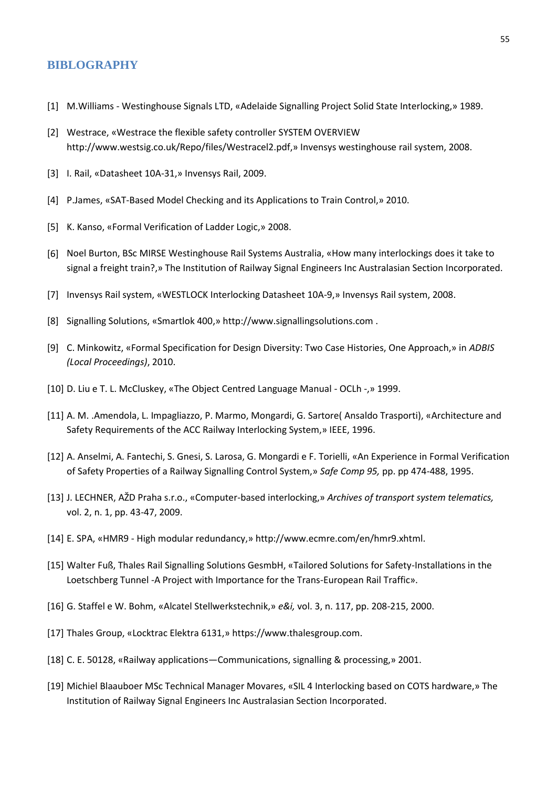#### <span id="page-55-0"></span>**BIBLOGRAPHY**

- [1] M.Williams Westinghouse Signals LTD, «Adelaide Signalling Project Solid State Interlocking,» 1989.
- [2] Westrace, «Westrace the flexible safety controller SYSTEM OVERVIEW http://www.westsig.co.uk/Repo/files/Westracel2.pdf,» Invensys westinghouse rail system, 2008.
- [3] I. Rail, «Datasheet 10A-31,» Invensys Rail, 2009.
- [4] P.James, «SAT-Based Model Checking and its Applications to Train Control,» 2010.
- [5] K. Kanso, «Formal Verification of Ladder Logic,» 2008.
- [6] Noel Burton, BSc MIRSE Westinghouse Rail Systems Australia, «How many interlockings does it take to signal a freight train?,» The Institution of Railway Signal Engineers Inc Australasian Section Incorporated.
- [7] Invensys Rail system, «WESTLOCK Interlocking Datasheet 10A-9,» Invensys Rail system, 2008.
- [8] Signalling Solutions, «Smartlok 400,» http://www.signallingsolutions.com .
- [9] C. Minkowitz, «Formal Specification for Design Diversity: Two Case Histories, One Approach,» in *ADBIS (Local Proceedings)*, 2010.
- [10] D. Liu e T. L. McCluskey, «The Object Centred Language Manual OCLh -,» 1999.
- [11] A. M. .Amendola, L. Impagliazzo, P. Marmo, Mongardi, G. Sartore( Ansaldo Trasporti), «Architecture and Safety Requirements of the ACC Railway Interlocking System,» IEEE, 1996.
- [12] A. Anselmi, A. Fantechi, S. Gnesi, S. Larosa, G. Mongardi e F. Torielli, «An Experience in Formal Verification of Safety Properties of a Railway Signalling Control System,» *Safe Comp 95,* pp. pp 474-488, 1995.
- [13] J. LECHNER, AŽD Praha s.r.o., «Computer-based interlocking,» *Archives of transport system telematics,*  vol. 2, n. 1, pp. 43-47, 2009.
- [14] E. SPA, «HMR9 High modular redundancy,» http://www.ecmre.com/en/hmr9.xhtml.
- [15] Walter Fuß, Thales Rail Signalling Solutions GesmbH, «Tailored Solutions for Safety-Installations in the Loetschberg Tunnel -A Project with Importance for the Trans-European Rail Traffic».
- [16] G. Staffel e W. Bohm, «Alcatel Stellwerkstechnik,» *e&i,* vol. 3, n. 117, pp. 208-215, 2000.
- [17] Thales Group, «Locktrac Elektra 6131,» https://www.thalesgroup.com.
- [18] C. E. 50128, «Railway applications—Communications, signalling & processing,» 2001.
- [19] Michiel Blaauboer MSc Technical Manager Movares, «SIL 4 Interlocking based on COTS hardware,» The Institution of Railway Signal Engineers Inc Australasian Section Incorporated.